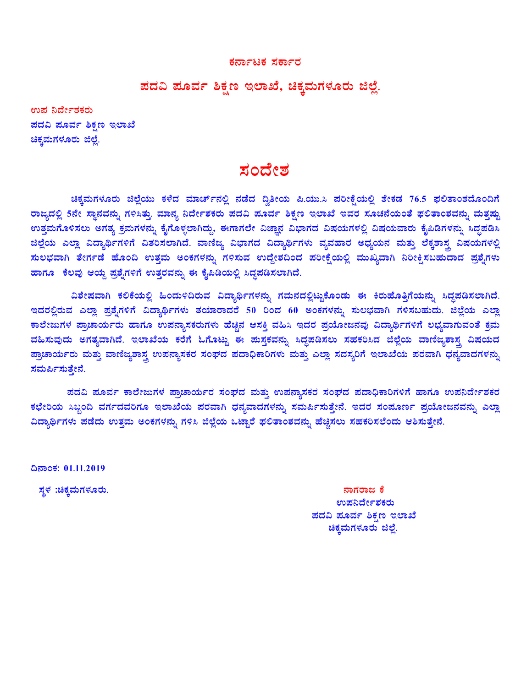#### ಕರ್ನಾಟಕ ಸರ್ಕಾರ

# ಪದವಿ ಪೂರ್ವ ಶಿಕ್ಷಣ ಇಲಾಖೆ, ಚಿಕ್ಕಮಗಳೂರು ಜಿಲ್ಲೆ.

ಉಪ ನಿರ್ದೇಶಕರು ಪದವಿ ಮೂರ್ವ ಶಿಕ್ಷಣ ಇಲಾಖೆ ಚಿಕ್ಕಮಗಳೂರು ಜಿಲ್ಲೆ.

# ಸಂದೇಶ

ಚಿಕ್ಕಮಗಳೂರು ಜಿಲ್ಲೆಯು ಕಳೆದ ಮಾರ್ಚ್**ನಲ್ಲಿ ನಡೆದ ದ್ವಿತೀಯ ಪಿ.ಯು.ಸಿ ಪರೀಕ್ಷೆಯಲ್ಲಿ** ಶೇಕಡ 76.5 ಫಲಿತಾಂಶದೊಂದಿಗೆ ರಾಜ್ಯದಲ್ಲಿ 5ನೇ ಸ್ಥಾನವನ್ನು ಗಳಿಸಿತ್ತು. ಮಾನ್ಯ ನಿರ್ದೇಶಕರು ಪದವಿ ಪೂರ್ವ ಶಿಕ್ಷಣ ಇಲಾಖೆ ಇವರ ಸೂಚನೆಯಂತೆ ಫಲಿತಾಂಶವನ್ನು ಮತ್ತಷ್ಟು ಉತ್ತಮಗೊಳಿಸಲು ಅಗತ್ಯ ಕ್ರಮಗಳನ್ನು ಕೈಗೊಳ್ಳಲಾಗಿದ್ದು, ಈಗಾಗಲೇ ವಿಜ್ಞಾನ ವಿಭಾಗದ ವಿಷಯಗಳಲ್ಲಿ ವಿಷಯವಾರು ಕೈಪಿಡಿಗಳನ್ನು ಸಿದ್ದಪಡಿಸಿ ಜಿಲ್ಲೆಯ ಎಲ್ಲಾ ವಿದ್ಯಾರ್ಥಿಗಳಿಗೆ ವಿತರಿಸಲಾಗಿದೆ. ವಾಣಿಜ್ಯ ವಿಭಾಗದ ವಿದ್ಯಾರ್ಥಿಗಳು ವ್ಯವಹಾರ ಅಧ್ಯಯನ ಮತ್ತು ಲೆಕ್ಕಶಾಸ್ತ್ರ ವಿಷಯಗಳಲ್ಲಿ ಸುಲಭವಾಗಿ ತೇರ್ಗಡೆ ಹೊಂದಿ ಉತ್ತಮ ಅಂಕಗಳನ್ನು ಗಳಿಸುವ ಉದ್ದೇಶದಿಂದ ಪರೀಕ್ಷೆಯಲ್ಲಿ ಮುಖ್ಯವಾಗಿ ನಿರೀಕ್ಷಿಸಬಹುದಾದ ಪ್ರಶೈಗಳು ಹಾಗೂ ಕೆಲವು ಆಯ್ದ ಪ್ರಶೈಗಳಿಗೆ ಉತ್ತರವನ್ನು ಈ ಕೈಪಿಡಿಯಲ್ಲಿ ಸಿದ್ಧಪಡಿಸಲಾಗಿದೆ.

ವಿಶೇಷವಾಗಿ ಕಲಿಕೆಯಲ್ಲಿ ಹಿಂದುಳಿದಿರುವ ವಿದ್ಯಾರ್ಥಿಗಳನ್ನು ಗಮನದಲ್ಲಿಟ್ಟುಕೊಂಡು ಈ ಕಿರುಹೊತ್ತಿಗೆಯನ್ನು ಸಿದ್ಧಪಡಿಸಲಾಗಿದೆ. ಇದರಲ್ಲಿರುವ ಎಲ್ಲಾ ಪ್ರಶೈಗಳಿಗೆ ವಿದ್ಯಾರ್ಥಿಗಳು ತಯಾರಾದರೆ 50 ರಿಂದ 60 ಅಂಕಗಳನ್ನು ಸುಲಭವಾಗಿ ಗಳಿಸಬಹುದು. ಜಿಲ್ಲೆಯ ಎಲ್ಲಾ ಕಾಲೇಜುಗಳ ಪ್ರಾಚಾರ್ಯರು ಹಾಗೂ ಉಪನ್ಯಾಸಕರುಗಳು ಹೆಚ್ಚಿನ ಆಸಕ್ತಿ ವಹಿಸಿ ಇದರ ಪ್ರಯೋಜನವು ವಿದ್ಯಾರ್ಥಿಗಳಿಗೆ ಲಭ್ಯವಾಗುವಂತೆ ಕ್ರಮ ವಹಿಸುವುದು ಅಗತ್ಯವಾಗಿದೆ. ಇಲಾಖೆಯ ಕರೆಗೆ ಓಗೊಟ್ಟು ಈ ಪುಸ್ತಕವನ್ನು ಸಿದ್ಧಪಡಿಸಲು ಸಹಕರಿಸಿದ ಜಿಲ್ಲೆಯ ವಾಣಿಜ್ಯಶಾಸ್ತ್ರ ವಿಷಯದ ಪ್ರಾಚಾರ್ಯರು ಮತ್ತು ವಾಣಿಜ್ಯಶಾಸ್ತ್ರ ಉಪನ್ಯಾಸಕರ ಸಂಘದ ಪದಾಧಿಕಾರಿಗಳು ಮತ್ತು ಎಲ್ಲಾ ಸದಸ್ಯರಿಗೆ ಇಲಾಖೆಯ ಪರವಾಗಿ ಧನ್ಯವಾದಗಳನ್ನು ಸಮರ್ಪಿಸುತ್ತೇನೆ.

ಪದವಿ ಪೂರ್ವ ಕಾಲೇಜುಗಳ ಪ್ರಾಚಾರ್ಯರ ಸಂಘದ ಮತ್ತು ಉಪನ್ಯಾಸಕರ ಸಂಘದ ಪದಾಧಿಕಾರಿಗಳಿಗೆ ಹಾಗೂ ಉಪನಿರ್ದೇಶಕರ ಕಛೇರಿಯ ಸಿಬ್ಬಂದಿ ವರ್ಗದವರಿಗೂ ಇಲಾಖೆಯ ಪರವಾಗಿ ಧನ್ಯವಾದಗಳನ್ನು ಸಮರ್ಪಿಸುತ್ತೇನೆ. ಇದರ ಸಂಪೂರ್ಣ ಪ್ರಯೋಜನವನ್ನು ಎಲ್ಲಾ ವಿದ್ಯಾರ್ಥಿಗಳು ಪಡೆದು ಉತ್ತಮ ಅಂಕಗಳನ್ನು ಗಳಿಸಿ ಜಿಲ್ಲೆಯ ಒಟ್ಟಾರೆ ಫಲಿತಾಂಶವನ್ನು ಹೆಚ್ಚಿಸಲು ಸಹಕರಿಸಲೆಂದು ಆಶಿಸುತ್ತೇನೆ.

ದಿನಾಂಕ: 01.11.2019

ಸ್ಥಳ :ಚಿಕ್ಕಮಗಳೂರು.

ನಾಗರಾಜ ಕೆ ಉಪನಿರ್ದೇಶಕರು ಪದವಿ ಪೂರ್ವ ಶಿಕ್ಷಣ ಇಲಾಖೆ ಚಿಕ್ಕಮಗಳೂರು ಜಿಲ್ಲೆ.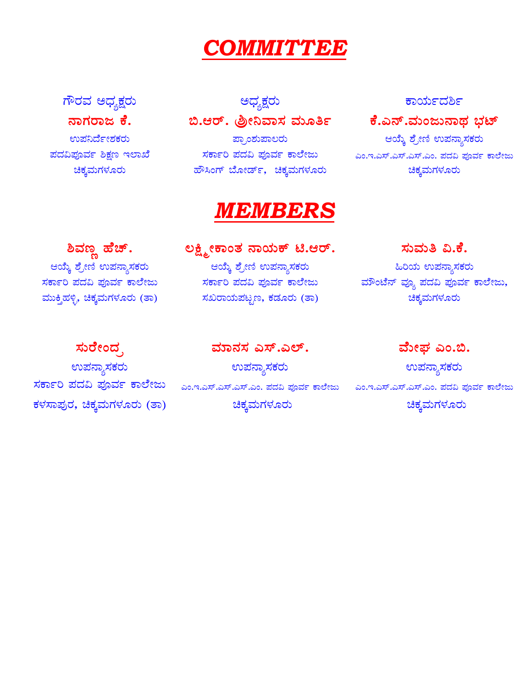# COMMITTEE

ಗೌರವ ಅಧ್ಯಕ್ಷರು ನಾಗರಾಜ ಕೆ. ಉಪನಿರ್ದೇಶಕರು ಪದವಿಪೂರ್ವ ಶಿಕ್ಷಣ ಇಲಾಖೆ ಚಿಕ್ಕಮಗಳೂರು

# ಅಧ್ಯಕ್ಷರು

<mark>ಪ್ರಾಂಶುಪಾಲರು</mark> ಸರ್ಕಾರಿ ಪದವಿ ಪೂರ್ವ ಕಾಲೇಜು ಹೌಸಿಂಗ್ ಬೋರ್ಡ್, ಚಿಕ್ಕಮಗಳೂರು

# *MEMBERS*

ಲಕ್ಷ್ಮೀಕಾಂತ ನಾಯಕ್ ಟಿ.ಆರ್.

ಸರ್ಕಾರಿ ಪದವಿ ಪೂರ್ವ ಕಾಲೇಜು

ಸಖರಾಯಪಟ್ಟಣ, ಕಡೂರು (ತಾ)

ಆಯ್ಕೆ ಶ್ರೇಣಿ ಉಪನ್ಯಾಸಕರು

ಶಿವಣ್ಣ ಹೆಚ್. ಆಯ್ಕೆ ಶ್ರೇಣಿ ಉಪನ್ಯಾಸಕರು ಸರ್ಕಾರಿ ಪದವಿ ಪೂರ್ವ ಕಾಲೇಜು ಮುಕ್ತಿಹಳ್ಳಿ, ಚಿಕ್ಕಮಗಳೂರು (ತಾ)

# ಸುರೇಂದ್ರ

ಉಪನ್ಯಾಸಕರು ಕಳಸಾಪುರ, ಚಿಕ್ಕಮಗಳೂರು (ತಾ)

ಮಾನಸ ಎಸ್.ಎಲ್. ಉಪನ್ಯಾಸಕರು ಚಿಕ್ಕಮಗಳೂರು

# ಕಾರ್ಯದರ್ಶಿ

# ಕೆ.ಎನ್.ಮಂಜುನಾಥ ಭಟ್

ಆಯ್ಕೆ ಶ್ರೇಣಿ ಉಪನ್ಯಾಸಕರು ಎಂ.ಇ.ಎಸ್.ಎಸ್.ಎಸ್.ಎಂ. ಪದವಿ ಪೂರ್ವ ಕಾಲೇಜು ಚಿಕ್ಕಮಗಳೂರು

ಸುಮತಿ ವಿ.ಕೆ. ಹಿರಿಯ <mark>ಉಪನ್ಯಾಸಕರು</mark> ಮೌಂಟೆನ್ ವ್ಯೂ ಪದವಿ ಪೂರ್ವ ಕಾಲೇಜು, ಚಿಕ್ಕಮಗಳೂರು

ವೇುಘ ಎಂ.ಬಿ. ಉಪನ್ಯಾಸಕರು ಸರ್ಕಾರಿ ಪದವಿ ಪೂರ್ವ ಕಾಲೇಜು ಪಂ.ಇ.ಎಸ್.ಎಸ್.ಎಸ್.ಎಂ. ಪದವಿ ಪೂರ್ವ ಕಾಲೇಜು ಪಂ.ಇ.ಎಸ್.ಎಸ್.ಎಸ್.ಎಂ. ಪದವಿ ಪೂರ್ವ ಕಾಲೇಜು ಚಿಕ್ಕಮಗಳೂರು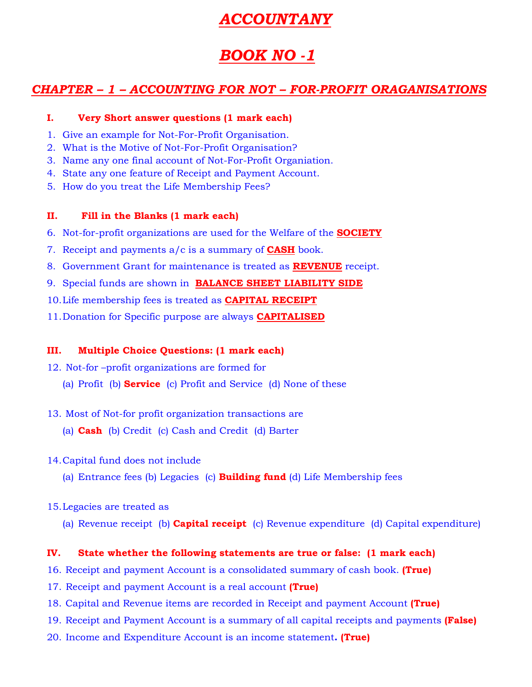# *ACCOUNTANY*

# *BOOK NO -1*

# *CHAPTER – 1 – ACCOUNTING FOR NOT – FOR-PROFIT ORAGANISATIONS*

#### **I. Very Short answer questions (1 mark each)**

- 1. Give an example for Not-For-Profit Organisation.
- 2. What is the Motive of Not-For-Profit Organisation?
- 3. Name any one final account of Not-For-Profit Organiation.
- 4. State any one feature of Receipt and Payment Account.
- 5. How do you treat the Life Membership Fees?

#### **II. Fill in the Blanks (1 mark each)**

- 6. Not-for-profit organizations are used for the Welfare of the **SOCIETY**
- 7. Receipt and payments a/c is a summary of **CASH** book.
- 8. Government Grant for maintenance is treated as **REVENUE** receipt.
- 9. Special funds are shown in **BALANCE SHEET LIABILITY SIDE**
- 10.Life membership fees is treated as **CAPITAL RECEIPT**
- 11.Donation for Specific purpose are always **CAPITALISED**

### **III. Multiple Choice Questions: (1 mark each)**

- 12. Not-for –profit organizations are formed for
	- (a) Profit (b) **Service** (c) Profit and Service (d) None of these
- 13. Most of Not-for profit organization transactions are
	- (a) **Cash** (b) Credit (c) Cash and Credit (d) Barter
- 14.Capital fund does not include
	- (a) Entrance fees (b) Legacies (c) **Building fund** (d) Life Membership fees
- 15.Legacies are treated as
	- (a) Revenue receipt (b) **Capital receipt** (c) Revenue expenditure (d) Capital expenditure)

### **IV. State whether the following statements are true or false: (1 mark each)**

- 16. Receipt and payment Account is a consolidated summary of cash book. **(True)**
- 17. Receipt and payment Account is a real account **(True)**
- 18. Capital and Revenue items are recorded in Receipt and payment Account **(True)**
- 19. Receipt and Payment Account is a summary of all capital receipts and payments **(False)**
- 20. Income and Expenditure Account is an income statement**. (True)**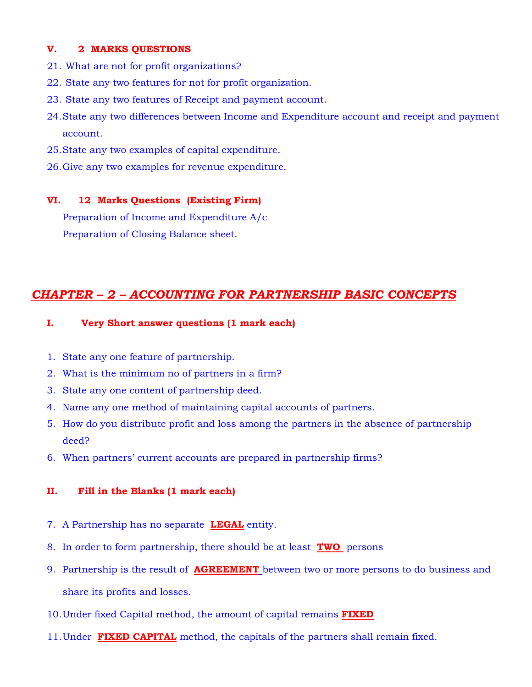#### **V. 2 MARKS QUESTIONS**

- 21. What are not for profit organizations?
- 22. State any two features for not for profit organization.
- 23. State any two features of Receipt and payment account.
- 24.State any two differences between Income and Expenditure account and receipt and payment account.
- 25.State any two examples of capital expenditure.
- 26.Give any two examples for revenue expenditure.

#### **VI. 12 Marks Questions (Existing Firm)**

Preparation of Income and Expenditure A/c Preparation of Closing Balance sheet.

# *CHAPTER – 2 – ACCOUNTING FOR PARTNERSHIP BASIC CONCEPTS*

#### **I. Very Short answer questions (1 mark each)**

- 1. State any one feature of partnership.
- 2. What is the minimum no of partners in a firm?
- 3. State any one content of partnership deed.
- 4. Name any one method of maintaining capital accounts of partners.
- 5. How do you distribute profit and loss among the partners in the absence of partnership deed?
- 6. When partners' current accounts are prepared in partnership firms?

#### **II. Fill in the Blanks (1 mark each)**

- 7. A Partnership has no separate **LEGAL** entity.
- 8. In order to form partnership, there should be at least **TWO** persons
- 9. Partnership is the result of **AGREEMENT** between two or more persons to do business and share its profits and losses.
- 10.Under fixed Capital method, the amount of capital remains **FIXED**
- 11.Under **FIXED CAPITAL** method, the capitals of the partners shall remain fixed.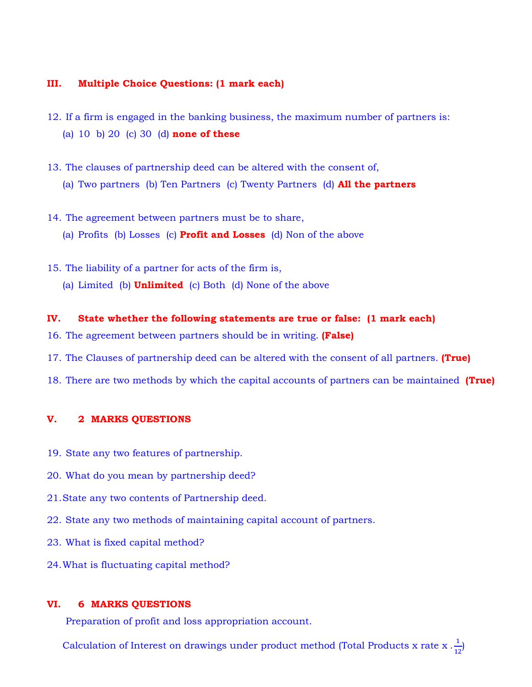#### **III. Multiple Choice Questions: (1 mark each)**

- 12. If a firm is engaged in the banking business, the maximum number of partners is: (a) 10 b) 20 (c) 30 (d) **none of these**
- 13. The clauses of partnership deed can be altered with the consent of, (a) Two partners (b) Ten Partners (c) Twenty Partners (d) **All the partners**
- 14. The agreement between partners must be to share, (a) Profits (b) Losses (c) **Profit and Losses** (d) Non of the above
- 15. The liability of a partner for acts of the firm is, (a) Limited (b) **Unlimited** (c) Both (d) None of the above

#### **IV. State whether the following statements are true or false: (1 mark each)**

- 16. The agreement between partners should be in writing. **(False)**
- 17. The Clauses of partnership deed can be altered with the consent of all partners. **(True)**
- 18. There are two methods by which the capital accounts of partners can be maintained **(True)**

#### **V. 2 MARKS QUESTIONS**

- 19. State any two features of partnership.
- 20. What do you mean by partnership deed?
- 21.State any two contents of Partnership deed.
- 22. State any two methods of maintaining capital account of partners.
- 23. What is fixed capital method?
- 24.What is fluctuating capital method?

#### **VI. 6 MARKS QUESTIONS**

Preparation of profit and loss appropriation account.

Calculation of Interest on drawings under product method (Total Products x rate x  $\frac{1}{12}$ )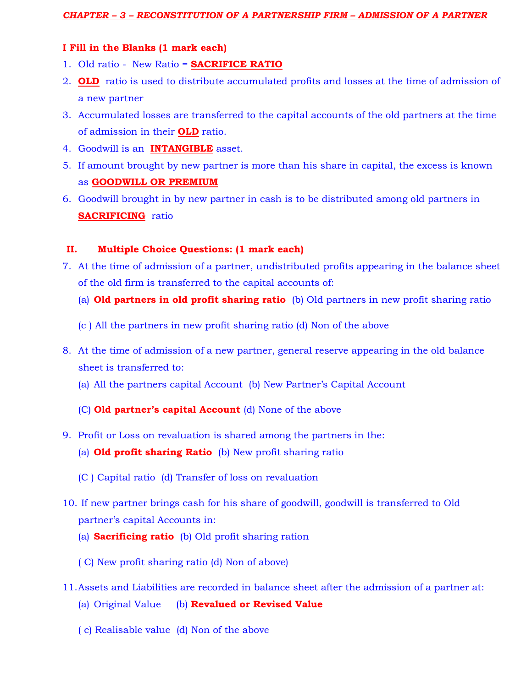#### **I Fill in the Blanks (1 mark each)**

- 1. Old ratio New Ratio = **SACRIFICE RATIO**
- 2. **OLD** ratio is used to distribute accumulated profits and losses at the time of admission of a new partner
- 3. Accumulated losses are transferred to the capital accounts of the old partners at the time of admission in their **OLD** ratio.
- 4. Goodwill is an **INTANGIBLE** asset.
- 5. If amount brought by new partner is more than his share in capital, the excess is known as **GOODWILL OR PREMIUM**
- 6. Goodwill brought in by new partner in cash is to be distributed among old partners in **SACRIFICING** ratio

#### **II. Multiple Choice Questions: (1 mark each)**

- 7. At the time of admission of a partner, undistributed profits appearing in the balance sheet of the old firm is transferred to the capital accounts of:
	- (a) **Old partners in old profit sharing ratio** (b) Old partners in new profit sharing ratio
	- (c ) All the partners in new profit sharing ratio (d) Non of the above
- 8. At the time of admission of a new partner, general reserve appearing in the old balance sheet is transferred to:
	- (a) All the partners capital Account (b) New Partner's Capital Account

#### (C) **Old partner's capital Account** (d) None of the above

- 9. Profit or Loss on revaluation is shared among the partners in the:
	- (a) **Old profit sharing Ratio** (b) New profit sharing ratio
	- (C ) Capital ratio (d) Transfer of loss on revaluation
- 10. If new partner brings cash for his share of goodwill, goodwill is transferred to Old partner's capital Accounts in:
	- (a) **Sacrificing ratio** (b) Old profit sharing ration
	- ( C) New profit sharing ratio (d) Non of above)
- 11.Assets and Liabilities are recorded in balance sheet after the admission of a partner at:
	- (a) Original Value (b) **Revalued or Revised Value**
	- ( c) Realisable value (d) Non of the above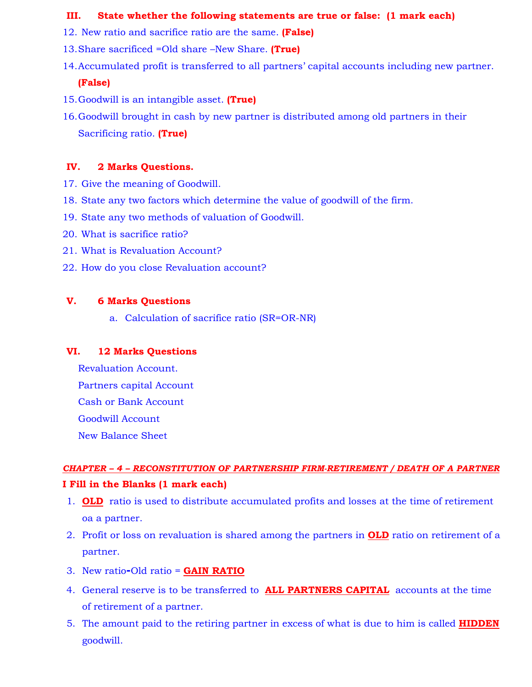#### **III. State whether the following statements are true or false: (1 mark each)**

- 12. New ratio and sacrifice ratio are the same. **(False)**
- 13.Share sacrificed =Old share –New Share. **(True)**
- 14.Accumulated profit is transferred to all partners' capital accounts including new partner. **(False)**
- 15.Goodwill is an intangible asset. **(True)**
- 16.Goodwill brought in cash by new partner is distributed among old partners in their Sacrificing ratio. **(True)**

#### **IV. 2 Marks Questions.**

- 17. Give the meaning of Goodwill.
- 18. State any two factors which determine the value of goodwill of the firm.
- 19. State any two methods of valuation of Goodwill.
- 20. What is sacrifice ratio?
- 21. What is Revaluation Account?
- 22. How do you close Revaluation account?

#### **V. 6 Marks Questions**

a. Calculation of sacrifice ratio (SR=OR-NR)

#### **VI. 12 Marks Questions**

Revaluation Account. Partners capital Account Cash or Bank Account Goodwill Account New Balance Sheet

# *CHAPTER – 4 – RECONSTITUTION OF PARTNERSHIP FIRM-RETIREMENT / DEATH OF A PARTNER* **I Fill in the Blanks (1 mark each)**

- 1. **OLD** ratio is used to distribute accumulated profits and losses at the time of retirement oa a partner.
- 2. Profit or loss on revaluation is shared among the partners in **OLD** ratio on retirement of a partner.
- 3. New ratio**-**Old ratio = **GAIN RATIO**
- 4. General reserve is to be transferred to **ALL PARTNERS CAPITAL** accounts at the time of retirement of a partner.
- 5. The amount paid to the retiring partner in excess of what is due to him is called **HIDDEN** goodwill.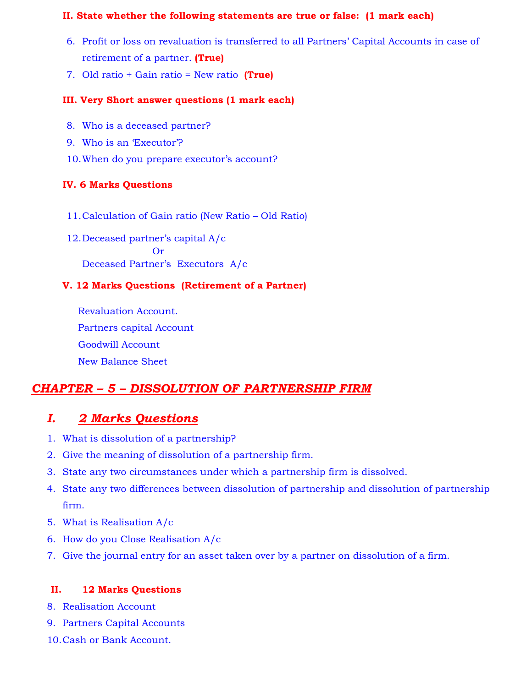#### **II. State whether the following statements are true or false: (1 mark each)**

- 6. Profit or loss on revaluation is transferred to all Partners' Capital Accounts in case of retirement of a partner. **(True)**
- 7. Old ratio + Gain ratio = New ratio **(True)**

#### **III. Very Short answer questions (1 mark each)**

- 8. Who is a deceased partner?
- 9. Who is an 'Executor'?
- 10.When do you prepare executor's account?

#### **IV. 6 Marks Questions**

- 11.Calculation of Gain ratio (New Ratio Old Ratio)
- 12.Deceased partner's capital A/c Or Deceased Partner's Executors A/c

#### **V. 12 Marks Questions (Retirement of a Partner)**

Revaluation Account. Partners capital Account Goodwill Account New Balance Sheet

# *CHAPTER – 5 – DISSOLUTION OF PARTNERSHIP FIRM*

# *I. 2 Marks Questions*

- 1. What is dissolution of a partnership?
- 2. Give the meaning of dissolution of a partnership firm.
- 3. State any two circumstances under which a partnership firm is dissolved.
- 4. State any two differences between dissolution of partnership and dissolution of partnership firm.
- 5. What is Realisation A/c
- 6. How do you Close Realisation A/c
- 7. Give the journal entry for an asset taken over by a partner on dissolution of a firm.

#### **II. 12 Marks Questions**

- 8. Realisation Account
- 9. Partners Capital Accounts
- 10.Cash or Bank Account.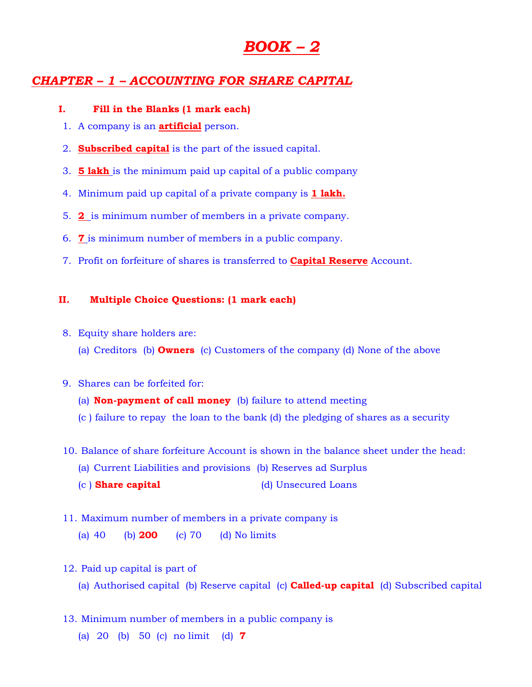# *BOOK – 2*

# *CHAPTER – 1 – ACCOUNTING FOR SHARE CAPITAL*

#### **I. Fill in the Blanks (1 mark each)**

- 1. A company is an **artificial** person.
- 2. **Subscribed capital** is the part of the issued capital.
- 3. **5 lakh** is the minimum paid up capital of a public company
- 4. Minimum paid up capital of a private company is **1 lakh.**
- 5. **2** is minimum number of members in a private company.
- 6. **7** is minimum number of members in a public company.
- 7. Profit on forfeiture of shares is transferred to **Capital Reserve** Account.

#### **II. Multiple Choice Questions: (1 mark each)**

- 8. Equity share holders are:
	- (a) Creditors (b) **Owners** (c) Customers of the company (d) None of the above

#### 9. Shares can be forfeited for:

- (a) **Non-payment of call money** (b) failure to attend meeting
- (c ) failure to repay the loan to the bank (d) the pledging of shares as a security
- 10. Balance of share forfeiture Account is shown in the balance sheet under the head:
	- (a) Current Liabilities and provisions (b) Reserves ad Surplus
	- (c ) **Share capital** (d) Unsecured Loans
- 11. Maximum number of members in a private company is

(a) 40 (b) **200** (c) 70 (d) No limits

- 12. Paid up capital is part of
	- (a) Authorised capital (b) Reserve capital (c) **Called-up capital** (d) Subscribed capital
- 13. Minimum number of members in a public company is
	- (a) 20 (b) 50 (c) no limit (d) **7**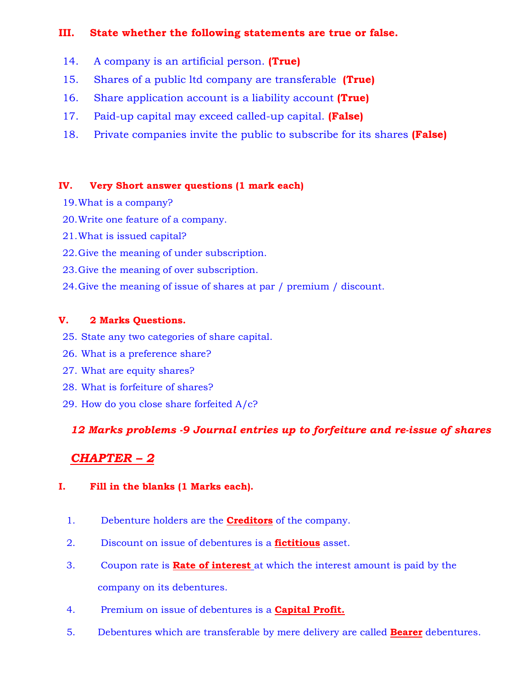### **III. State whether the following statements are true or false.**

- 14. A company is an artificial person. **(True)**
- 15. Shares of a public ltd company are transferable **(True)**
- 16. Share application account is a liability account **(True)**
- 17. Paid-up capital may exceed called-up capital. **(False)**
- 18. Private companies invite the public to subscribe for its shares **(False)**

### **IV. Very Short answer questions (1 mark each)**

- 19.What is a company?
- 20.Write one feature of a company.
- 21.What is issued capital?
- 22.Give the meaning of under subscription.
- 23.Give the meaning of over subscription.
- 24.Give the meaning of issue of shares at par / premium / discount.

# **V. 2 Marks Questions.**

- 25. State any two categories of share capital.
- 26. What is a preference share?
- 27. What are equity shares?
- 28. What is forfeiture of shares?
- 29. How do you close share forfeited A/c?

# *12 Marks problems -9 Journal entries up to forfeiture and re-issue of shares*

# *CHAPTER – 2*

### **I. Fill in the blanks (1 Marks each).**

- 1. Debenture holders are the **Creditors** of the company.
- 2. Discount on issue of debentures is a **fictitious** asset.
- 3. Coupon rate is **Rate of interest** at which the interest amount is paid by the company on its debentures.
- 4. Premium on issue of debentures is a **Capital Profit.**
- 5. Debentures which are transferable by mere delivery are called **Bearer** debentures.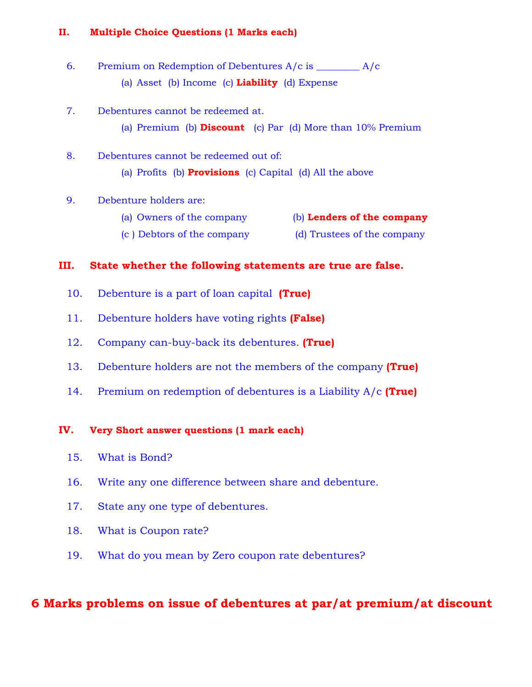#### **II. Multiple Choice Questions (1 Marks each)**

6. Premium on Redemption of Debentures A/c is \_\_\_\_\_\_\_\_\_ A/c (a) Asset (b) Income (c) **Liability** (d) Expense

#### 7. Debentures cannot be redeemed at.

- (a) Premium (b) **Discount** (c) Par (d) More than 10% Premium
- 8. Debentures cannot be redeemed out of: (a) Profits (b) **Provisions** (c) Capital (d) All the above

#### 9. Debenture holders are:

(a) Owners of the company (b) **Lenders of the company** (c ) Debtors of the company (d) Trustees of the company

#### **III. State whether the following statements are true are false.**

- 10. Debenture is a part of loan capital **(True)**
- 11. Debenture holders have voting rights **(False)**
- 12. Company can-buy-back its debentures. **(True)**
- 13. Debenture holders are not the members of the company **(True)**
- 14. Premium on redemption of debentures is a Liability A/c **(True)**

#### **IV. Very Short answer questions (1 mark each)**

- 15. What is Bond?
- 16. Write any one difference between share and debenture.
- 17. State any one type of debentures.
- 18. What is Coupon rate?
- 19. What do you mean by Zero coupon rate debentures?

# **6 Marks problems on issue of debentures at par/at premium/at discount**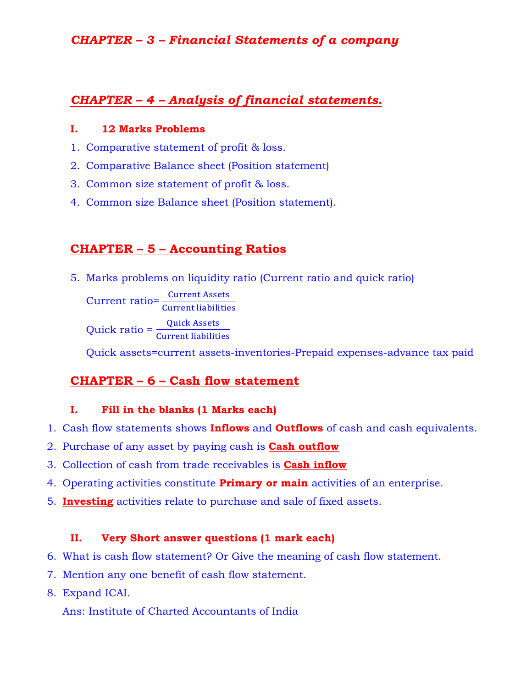# *CHAPTER – 3 – Financial Statements of a company*

# *CHAPTER – 4 – Analysis of financial statements.*

### **I. 12 Marks Problems**

- 1. Comparative statement of profit & loss.
- 2. Comparative Balance sheet (Position statement)
- 3. Common size statement of profit & loss.
- 4. Common size Balance sheet (Position statement).

# **CHAPTER – 5 – Accounting Ratios**

5. Marks problems on liquidity ratio (Current ratio and quick ratio)

 $Current \, ratio = \frac{Current \, Assets}{Current \, likelihood}$ Current liabilities

Quick ratio =  $\frac{\text{Quick Assets}}{\text{Common likelihood}}$ **Current liabilities** 

Quick assets=current assets-inventories-Prepaid expenses-advance tax paid

# **CHAPTER – 6 – Cash flow statement**

### **I. Fill in the blanks (1 Marks each)**

- 1. Cash flow statements shows **Inflows** and **Outflows** of cash and cash equivalents.
- 2. Purchase of any asset by paying cash is **Cash outflow**
- 3. Collection of cash from trade receivables is **Cash inflow**
- 4. Operating activities constitute **Primary or main** activities of an enterprise.
- 5. **Investing** activities relate to purchase and sale of fixed assets.

# **II. Very Short answer questions (1 mark each)**

- 6. What is cash flow statement? Or Give the meaning of cash flow statement.
- 7. Mention any one benefit of cash flow statement.
- 8. Expand ICAI.

Ans: Institute of Charted Accountants of India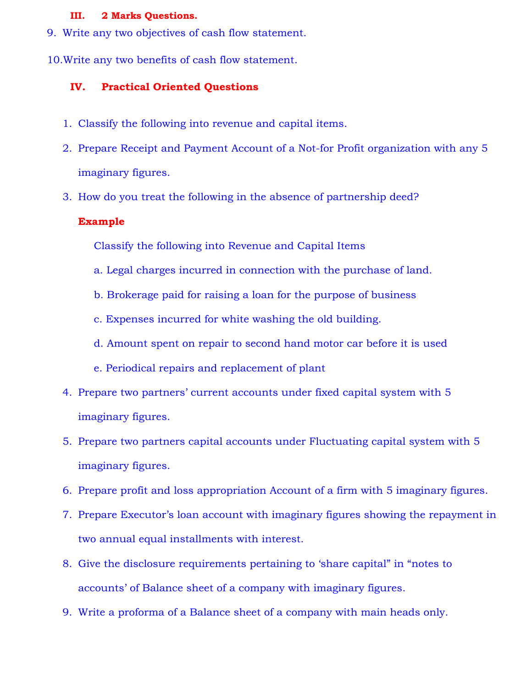#### **III. 2 Marks Questions.**

- 9. Write any two objectives of cash flow statement.
- 10.Write any two benefits of cash flow statement.

#### **IV. Practical Oriented Questions**

- 1. Classify the following into revenue and capital items.
- 2. Prepare Receipt and Payment Account of a Not-for Profit organization with any 5 imaginary figures.
- 3. How do you treat the following in the absence of partnership deed?

#### **Example**

Classify the following into Revenue and Capital Items

- a. Legal charges incurred in connection with the purchase of land.
- b. Brokerage paid for raising a loan for the purpose of business
- c. Expenses incurred for white washing the old building.
- d. Amount spent on repair to second hand motor car before it is used
- e. Periodical repairs and replacement of plant
- 4. Prepare two partners' current accounts under fixed capital system with 5 imaginary figures.
- 5. Prepare two partners capital accounts under Fluctuating capital system with 5 imaginary figures.
- 6. Prepare profit and loss appropriation Account of a firm with 5 imaginary figures.
- 7. Prepare Executor's loan account with imaginary figures showing the repayment in two annual equal installments with interest.
- 8. Give the disclosure requirements pertaining to 'share capital" in "notes to accounts' of Balance sheet of a company with imaginary figures.
- 9. Write a proforma of a Balance sheet of a company with main heads only.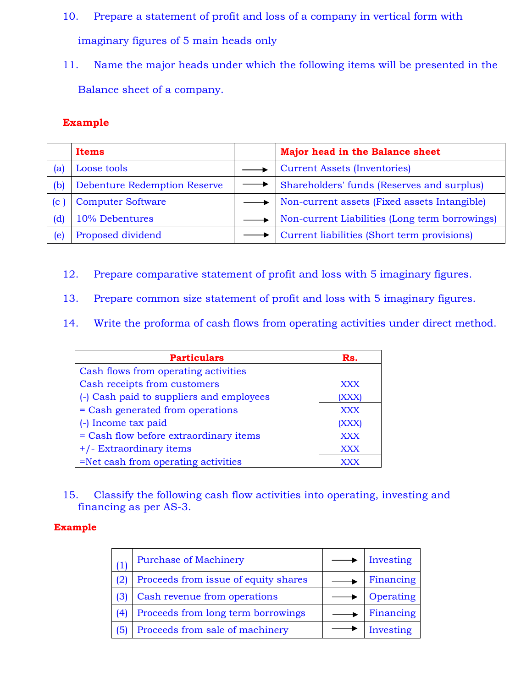- 10. Prepare a statement of profit and loss of a company in vertical form with imaginary figures of 5 main heads only
- 11. Name the major heads under which the following items will be presented in the Balance sheet of a company.

# **Example**

|     | Items                               | Major head in the Balance sheet                |
|-----|-------------------------------------|------------------------------------------------|
| (a) | Loose tools                         | <b>Current Assets (Inventories)</b>            |
| (b) | <b>Debenture Redemption Reserve</b> | Shareholders' funds (Reserves and surplus)     |
| (C  | <b>Computer Software</b>            | Non-current assets (Fixed assets Intangible)   |
| (d) | 10% Debentures                      | Non-current Liabilities (Long term borrowings) |
| (e) | Proposed dividend                   | Current liabilities (Short term provisions)    |

- 12. Prepare comparative statement of profit and loss with 5 imaginary figures.
- 13. Prepare common size statement of profit and loss with 5 imaginary figures.
- 14. Write the proforma of cash flows from operating activities under direct method.

| <b>Particulars</b>                       | Rs.        |
|------------------------------------------|------------|
| Cash flows from operating activities     |            |
| Cash receipts from customers             | <b>XXX</b> |
| (-) Cash paid to suppliers and employees | (XXX)      |
| = Cash generated from operations         | <b>XXX</b> |
| (-) Income tax paid                      | (XXX)      |
| = Cash flow before extraordinary items   | <b>XXX</b> |
| +/- Extraordinary items                  | <b>XXX</b> |
| =Net cash from operating activities      |            |

15. Classify the following cash flow activities into operating, investing and financing as per AS-3.

#### **Example**

| (1) | <b>Purchase of Machinery</b>         | Investing |
|-----|--------------------------------------|-----------|
| (2) | Proceeds from issue of equity shares | Financing |
| (3) | Cash revenue from operations         | Operating |
| (4) | Proceeds from long term borrowings   | Financing |
| (5) | Proceeds from sale of machinery      | Investing |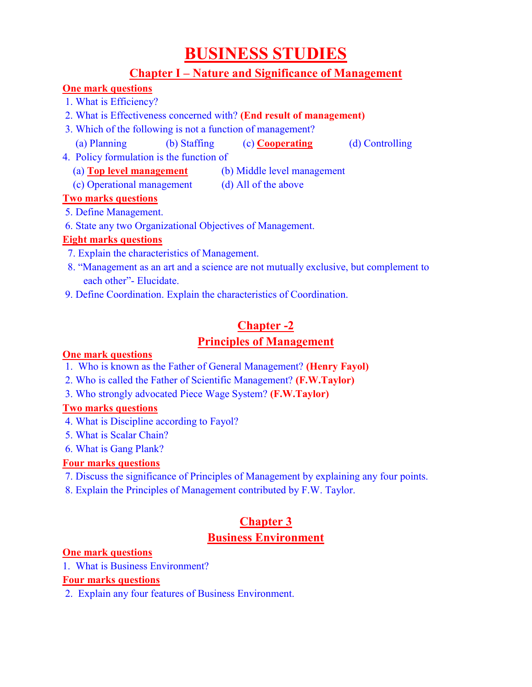# **BUSINESS STUDIES**

# **Chapter I – Nature and Significance of Management**

# **One mark questions**

- 1. What is Efficiency?
- 2. What is Effectiveness concerned with? **(End result of management)**
- 3. Which of the following is not a function of management?
- (a) Planning (b) Staffing (c) **Cooperating** (d) Controlling
- 4. Policy formulation is the function of
	- (a) **Top level management** (b) Middle level management
	- (c) Operational management (d) All of the above

# **Two marks questions**

- 5. Define Management.
- 6. State any two Organizational Objectives of Management.

# **Eight marks questions**

- 7. Explain the characteristics of Management.
- 8. "Management as an art and a science are not mutually exclusive, but complement to each other"- Elucidate.
- 9. Define Coordination. Explain the characteristics of Coordination.

# **Chapter -2**

# **Principles of Management**

# **One mark questions**

- 1. Who is known as the Father of General Management? **(Henry Fayol)**
- 2. Who is called the Father of Scientific Management? **(F.W.Taylor)**
- 3. Who strongly advocated Piece Wage System? **(F.W.Taylor)**

# **Two marks questions**

- 4. What is Discipline according to Fayol?
- 5. What is Scalar Chain?
- 6. What is Gang Plank?

# **Four marks questions**

- 7. Discuss the significance of Principles of Management by explaining any four points.
- 8. Explain the Principles of Management contributed by F.W. Taylor.

# **Chapter 3 Business Environment**

# **One mark questions**

1. What is Business Environment?

# **Four marks questions**

2. Explain any four features of Business Environment.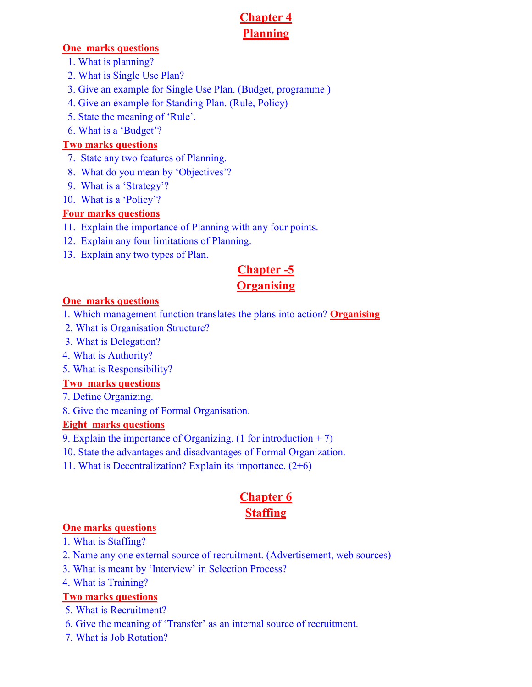# **Chapter 4 Planning**

#### **One marks questions**

- 1. What is planning?
- 2. What is Single Use Plan?
- 3. Give an example for Single Use Plan. (Budget, programme )
- 4. Give an example for Standing Plan. (Rule, Policy)
- 5. State the meaning of 'Rule'.
- 6. What is a 'Budget'?

# **Two marks questions**

- 7. State any two features of Planning.
- 8. What do you mean by 'Objectives'?
- 9. What is a 'Strategy'?
- 10. What is a 'Policy'?

# **Four marks questions**

- 11. Explain the importance of Planning with any four points.
- 12. Explain any four limitations of Planning.
- 13. Explain any two types of Plan.

# **Chapter -5**

# **Organising**

### **One marks questions**

- 1. Which management function translates the plans into action? **Organising**
- 2. What is Organisation Structure?
- 3. What is Delegation?
- 4. What is Authority?
- 5. What is Responsibility?

### **Two marks questions**

- 7. Define Organizing.
- 8. Give the meaning of Formal Organisation.

# **Eight marks questions**

- 9. Explain the importance of Organizing. (1 for introduction + 7)
- 10. State the advantages and disadvantages of Formal Organization.
- 11. What is Decentralization? Explain its importance. (2+6)

# **Chapter 6 Staffing**

### **One marks questions**

- 1. What is Staffing?
- 2. Name any one external source of recruitment. (Advertisement, web sources)
- 3. What is meant by 'Interview' in Selection Process?
- 4. What is Training?

# **Two marks questions**

- 5. What is Recruitment?
- 6. Give the meaning of 'Transfer' as an internal source of recruitment.
- 7. What is Job Rotation?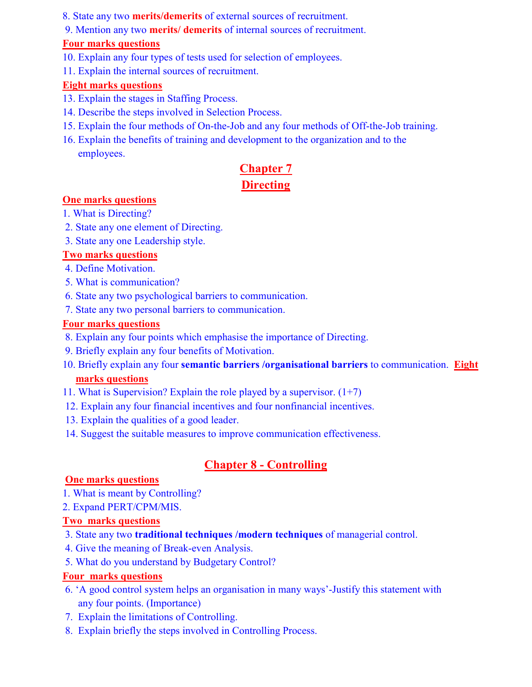- 8. State any two **merits/demerits** of external sources of recruitment.
- 9. Mention any two **merits/ demerits** of internal sources of recruitment.

### **Four marks questions**

- 10. Explain any four types of tests used for selection of employees.
- 11. Explain the internal sources of recruitment.

# **Eight marks questions**

- 13. Explain the stages in Staffing Process.
- 14. Describe the steps involved in Selection Process.
- 15. Explain the four methods of On-the-Job and any four methods of Off-the-Job training.
- 16. Explain the benefits of training and development to the organization and to the employees.

# **Chapter 7 Directing**

# **One marks questions**

- 1. What is Directing?
- 2. State any one element of Directing.
- 3. State any one Leadership style.

# **Two marks questions**

- 4. Define Motivation.
- 5. What is communication?
- 6. State any two psychological barriers to communication.
- 7. State any two personal barriers to communication.

### **Four marks questions**

- 8. Explain any four points which emphasise the importance of Directing.
- 9. Briefly explain any four benefits of Motivation.
- 10. Briefly explain any four **semantic barriers /organisational barriers** to communication. **Eight marks questions**
- 11. What is Supervision? Explain the role played by a supervisor.  $(1+7)$
- 12. Explain any four financial incentives and four nonfinancial incentives.
- 13. Explain the qualities of a good leader.
- 14. Suggest the suitable measures to improve communication effectiveness.

# **Chapter 8 - Controlling**

# **One marks questions**

- 1. What is meant by Controlling?
- 2. Expand PERT/CPM/MIS.

# **Two marks questions**

- 3. State any two **traditional techniques /modern techniques** of managerial control.
- 4. Give the meaning of Break-even Analysis.
- 5. What do you understand by Budgetary Control?

# **Four marks questions**

- 6. 'A good control system helps an organisation in many ways'-Justify this statement with any four points. (Importance)
- 7. Explain the limitations of Controlling.
- 8. Explain briefly the steps involved in Controlling Process.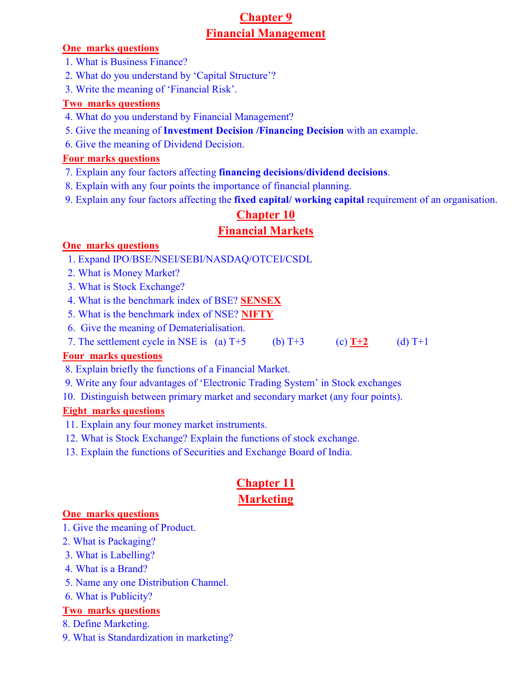# **Chapter 9 Financial Management**

#### **One marks questions**

- 1. What is Business Finance?
- 2. What do you understand by 'Capital Structure'?
- 3. Write the meaning of 'Financial Risk'.

# **Two marks questions**

- 4. What do you understand by Financial Management?
- 5. Give the meaning of **Investment Decision /Financing Decision** with an example.
- 6. Give the meaning of Dividend Decision.

### **Four marks questions**

- 7. Explain any four factors affecting **financing decisions/dividend decisions**.
- 8. Explain with any four points the importance of financial planning.
- 9. Explain any four factors affecting the **fixed capital/ working capital** requirement of an organisation.

# **Chapter 10**

# **Financial Markets**

# **One marks questions**

- 1. Expand IPO/BSE/NSEI/SEBI/NASDAQ/OTCEI/CSDL
- 2. What is Money Market?
- 3. What is Stock Exchange?
- 4. What is the benchmark index of BSE? **SENSEX**
- 5. What is the benchmark index of NSE? **NIFTY**
- 6. Give the meaning of Dematerialisation.
- 7. The settlement cycle in NSE is (a)  $T+5$  (b)  $T+3$  (c)  $T+2$  (d)  $T+1$

# **Four marks questions**

- 8. Explain briefly the functions of a Financial Market.
- 9. Write any four advantages of 'Electronic Trading System' in Stock exchanges
- 10. Distinguish between primary market and secondary market (any four points).

# **Eight marks questions**

- 11. Explain any four money market instruments.
- 12. What is Stock Exchange? Explain the functions of stock exchange.
- 13. Explain the functions of Securities and Exchange Board of India.

# **Chapter 11 Marketing**

### **One marks questions**

- 1. Give the meaning of Product.
- 2. What is Packaging?
- 3. What is Labelling?
- 4. What is a Brand?
- 5. Name any one Distribution Channel.
- 6. What is Publicity?

### **Two marks questions**

- 8. Define Marketing.
- 9. What is Standardization in marketing?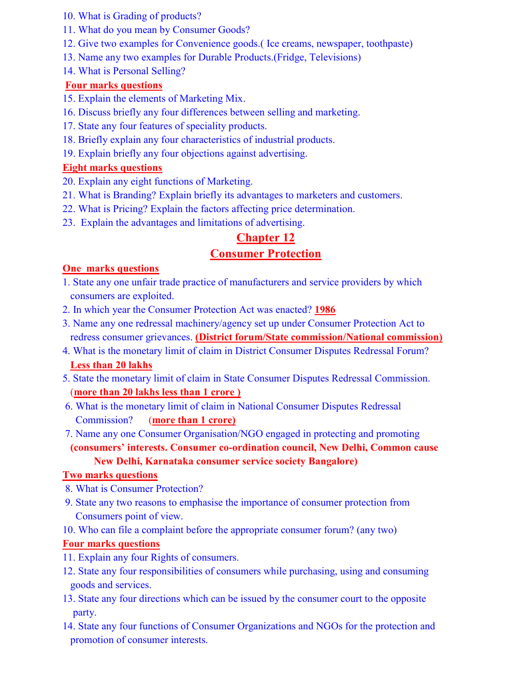- 10. What is Grading of products?
- 11. What do you mean by Consumer Goods?
- 12. Give two examples for Convenience goods.( Ice creams, newspaper, toothpaste)
- 13. Name any two examples for Durable Products.(Fridge, Televisions)
- 14. What is Personal Selling?

# **Four marks questions**

- 15. Explain the elements of Marketing Mix.
- 16. Discuss briefly any four differences between selling and marketing.
- 17. State any four features of speciality products.
- 18. Briefly explain any four characteristics of industrial products.
- 19. Explain briefly any four objections against advertising.

# **Eight marks questions**

- 20. Explain any eight functions of Marketing.
- 21. What is Branding? Explain briefly its advantages to marketers and customers.
- 22. What is Pricing? Explain the factors affecting price determination.
- 23. Explain the advantages and limitations of advertising.

# **Chapter 12**

# **Consumer Protection**

### **One marks questions**

- 1. State any one unfair trade practice of manufacturers and service providers by which consumers are exploited.
- 2. In which year the Consumer Protection Act was enacted? **1986**
- 3. Name any one redressal machinery/agency set up under Consumer Protection Act to redress consumer grievances. **(District forum/State commission/National commission)**
- 4. What is the monetary limit of claim in District Consumer Disputes Redressal Forum? **Less than 20 lakhs**
- 5. State the monetary limit of claim in State Consumer Disputes Redressal Commission. (**more than 20 lakhs less than 1 crore )**
- 6. What is the monetary limit of claim in National Consumer Disputes Redressal Commission? (**more than 1 crore)**
- 7. Name any one Consumer Organisation/NGO engaged in protecting and promoting **(consumers' interests. Consumer co-ordination council, New Delhi, Common cause New Delhi, Karnataka consumer service society Bangalore)**

#### **Two marks questions**

- 8. What is Consumer Protection?
- 9. State any two reasons to emphasise the importance of consumer protection from Consumers point of view.
- 10. Who can file a complaint before the appropriate consumer forum? (any two)

# **Four marks questions**

- 11. Explain any four Rights of consumers.
- 12. State any four responsibilities of consumers while purchasing, using and consuming goods and services.
- 13. State any four directions which can be issued by the consumer court to the opposite party.
- 14. State any four functions of Consumer Organizations and NGOs for the protection and promotion of consumer interests.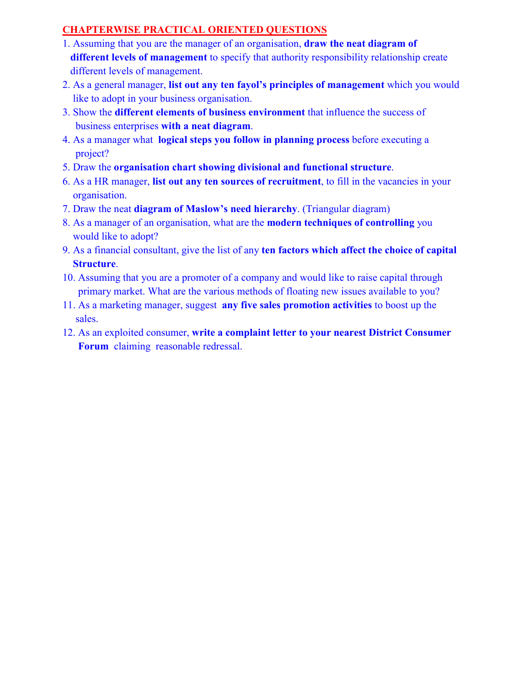# **CHAPTERWISE PRACTICAL ORIENTED QUESTIONS**

- 1. Assuming that you are the manager of an organisation, **draw the neat diagram of different levels of management** to specify that authority responsibility relationship create different levels of management.
- 2. As a general manager, **list out any ten fayol's principles of management** which you would like to adopt in your business organisation.
- 3. Show the **different elements of business environment** that influence the success of business enterprises **with a neat diagram**.
- 4. As a manager what **logical steps you follow in planning process** before executing a project?
- 5. Draw the **organisation chart showing divisional and functional structure**.
- 6. As a HR manager, **list out any ten sources of recruitment**, to fill in the vacancies in your organisation.
- 7. Draw the neat **diagram of Maslow's need hierarchy**. (Triangular diagram)
- 8. As a manager of an organisation, what are the **modern techniques of controlling** you would like to adopt?
- 9. As a financial consultant, give the list of any **ten factors which affect the choice of capital Structure**.
- 10. Assuming that you are a promoter of a company and would like to raise capital through primary market. What are the various methods of floating new issues available to you?
- 11. As a marketing manager, suggest **any five sales promotion activities** to boost up the sales.
- 12. As an exploited consumer, **write a complaint letter to your nearest District Consumer Forum** claiming reasonable redressal.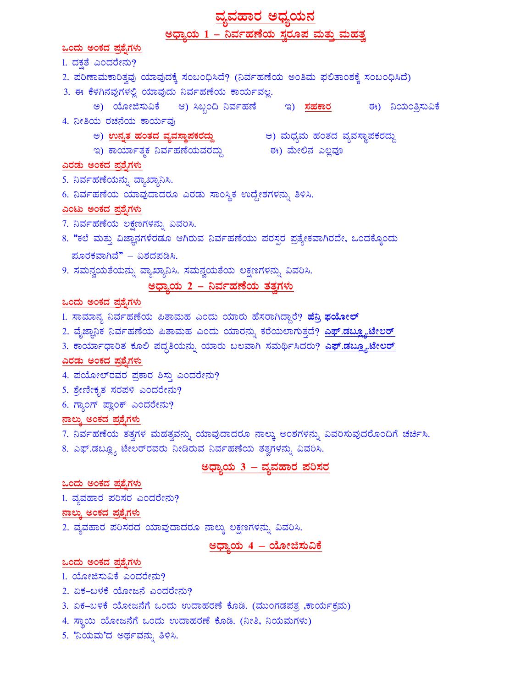# <u>ವ್ಯವಹಾರ ಅಧ್ಯಯನ</u> <u> ಅಧ್ಯಾಯ 1 – ನಿರ್ವಹಣೆಯ ಸ್ವರೂಪ ಮತ್ತು ಮಹತ್ವ</u>

<u>ಒಂದು ಅಂಕದ ಪ್ರಶೈಗಳು</u>

1. ದಕ್ಷತೆ ಎಂದರೇನು?

- 2. ಪರಿಣಾಮಕಾರಿತ್ವವು ಯಾವುದಕ್ಕೆ ಸಂಬಂಧಿಸಿದೆ? (ನಿರ್ವಹಣೆಯ ಅಂತಿಮ ಫಲಿತಾಂಶಕ್ಕೆ ಸಂಬಂಧಿಸಿದೆ)
- 3. ಈ ಕೆಳಗಿನವುಗಳಲ್ಲಿ ಯಾವುದು ನಿರ್ವಹಣೆಯ ಕಾರ್ಯವಲ್ಲ.
	- ಅ) ಯೋಜಿಸುವಿಕೆ ಆ) ಸಿಬ್ಬಂದಿ ನಿರ್ವಹಣೆ ಇ) <mark>ಸಹಕಾರ</mark> ಈ) ನಿಯಂತ್ರಿಸುವಿಕೆ
- 4. ನೀತಿಯ ರಚನೆಯ ಕಾರ್ಯವು
	-
	- ಅ) <mark>ಉನ್ನತ ಹಂತದ ವ್ಯವಸ್ಥಾಪಕರದ್ದು</mark> ಆ) ಮಧ್ಯಮ ಹಂತದ ವ್ಯವಸ್ಥಾಪಕರದ್ದು<br>ಇ) ಕಾರ್ಯಾತ್ಮಕ ನಿರ್ವಹಣೆಯವರದ್ದು ಈ) ಮೇಲಿನ ಎಲ್ಲವೂ

#### <u>ಎರಡು ಅಂಕದ ಪಶ್ಚೆಗ</u>ಳು

- 5. ನಿರ್ವಹಣೆಯನ್ನು ವ್ಯಾಖ್ಯಾನಿಸಿ.
- 6. ನಿರ್ವಹಣೆಯ ಯಾವುದಾದರೂ ಎರಡು ಸಾಂಸ್ಥಿಕ ಉದ್ದೇಶಗಳನ್ನು ತಿಳಿಸಿ.

#### ಎಂಟು ಅಂಕದ ಪ್ರಶೈಗಳು

- 7. ನಿರ್ವಹಣೆಯ ಲಕ್ಷಣಗಳನ್ನು ವಿವರಿಸಿ.
- 8. "ಕಲೆ ಮತ್ತು ವಿಜ್ಞಾನಗಳೆರಡೂ ಆಗಿರುವ ನಿರ್ವಹಣೆಯು ಪರಸ್ಪರ ಪ್ರತ್ಯೇಕವಾಗಿರದೇ, ಒಂದಕ್ಕೊಂದು ಮೂರಕವಾಗಿವೆ" – ವಿಶದಪಡಿಸಿ.
- 9. ಸಮನ್ವಯತೆಯನ್ನು ವ್ಯಾಖ್ಯಾನಿಸಿ. ಸಮನ್ವಯತೆಯ ಲಕ್ಷಣಗಳನ್ನು ವಿವರಿಸಿ.

# <u> ಅಧ್ಯಾಯ 2 – ನಿರ್ವಹಣೆಯ ತತ್ವಗಳು</u>

#### <u>ಒಂದು ಅಂಕದ ಪ್ರಶೈಗಳು</u>

- 1. ಸಾಮಾನ್ಯ ನಿರ್ವಹಣೆಯ ಪಿತಾಮಹ ಎಂದು ಯಾರು ಹೆಸರಾಗಿದ್ದಾರೆ? <mark>ಹೆನಿ ಫಯೋಲ್</mark>
- 2. ವೈಜ್ಞಾನಿಕ ನಿರ್ವಹಣೆಯ ಪಿತಾಮಹ ಎಂದು ಯಾರನ್ನು ಕರೆಯಲಾಗುತ್ತದೆ? <mark>ಎಫ್.ಡಬ್ಲ್ಯೂಟೇಲರ್</mark>
- 3. ಕಾರ್ಯಾಧಾರಿತ ಕೂಲಿ ಪದ್ಧತಿಯನ್ನು ಯಾರು ಬಲವಾಗಿ ಸಮರ್ಥಿಸಿದರು? <mark>ಎಫ್.ಡಬ್ಲ್ಯೂಟೇಲರ್</mark>

#### ಎರಡು ಅಂಕದ ಪ್ರಶೈಗಳು

- 4. ಪಯೋಲ್ ರವರ ಪ್ರಕಾರ ಶಿಸ್ತು ಎಂದರೇನು?
- 5. ಶ್ರೇಣೀಕೃತ ಸರಪಳಿ ಎಂದರೇನು?
- 6. ಗ್ಯಾಂಗ್ ಪ್ಲಾಂಕ್ ಎಂದರೇನು?

#### <u>ನಾಲ್ಕು ಅಂಕದ ಪ್ರಶ್ನೆಗಳು</u>

- 7. ನಿರ್ವಹಣೆಯ ತತ್ವಗಳ ಮಹತ್ವವನ್ನು ಯಾವುದಾದರೂ ನಾಲ್ಕು ಅಂಶಗಳನ್ನು ವಿವರಿಸುವುದರೊಂದಿಗೆ ಚರ್ಚಿಸಿ.
- 8. ಎಫ್.ಡಬ್ಲ್ಯೂ ಟೇಲರ್ರವರು ನೀಡಿರುವ ನಿರ್ವಹಣೆಯ ತತ್ವಗಳನ್ನು ವಿವರಿಸಿ.

# <u> ಅಧ್ಯಾಯ 3 – ವ್ಯವಹಾರ ಪರಿಸರ</u>

### <u>ಒಂದು ಅಂಕದ ಪ್ರಶ್ನೆಗಳು</u>

1. ವ್ಯವಹಾರ ಪರಿಸರ ಎಂದರೇನು?

#### <u>ನಾಲ್ಕು ಅಂಕದ ಪ್ರಶೈಗಳು</u>

2. ವ್ಯವಹಾರ ಪರಿಸರದ ಯಾವುದಾದರೂ ನಾಲ್ಕು ಲಕ್ಷಣಗಳನ್ನು ವಿವರಿಸಿ.

# ಅಧ್ಯಾಯ 4 – ಯೋಜಿಸುವಿಕೆ

#### <u>ಒಂದು ಅಂಕದ ಪ್ರಶ್ನೆಗಳು</u>

- 1. ಯೋಜಿಸುವಿಕೆ ಎಂದರೇನು?
- 2. ಏಕ-ಬಳಕೆ ಯೋಜನೆ ಎಂದರೇನು?
- 3. ಏಕ–ಬಳಕೆ ಯೋಜನೆಗೆ ಒಂದು ಉದಾಹರಣೆ ಕೊಡಿ. (ಮುಂಗಡಪತ್ನ ,ಕಾರ್ಯಕ್ರಮ)
- 4. ಸ್ಥಾಯಿ ಯೋಜನೆಗೆ ಒಂದು ಉದಾಹರಣೆ ಕೊಡಿ. (ನೀತಿ, ನಿಯಮಗಳು)
- 5. 'ನಿಯಮ'ದ ಅರ್ಥವನ್ನು ತಿಳಿಸಿ.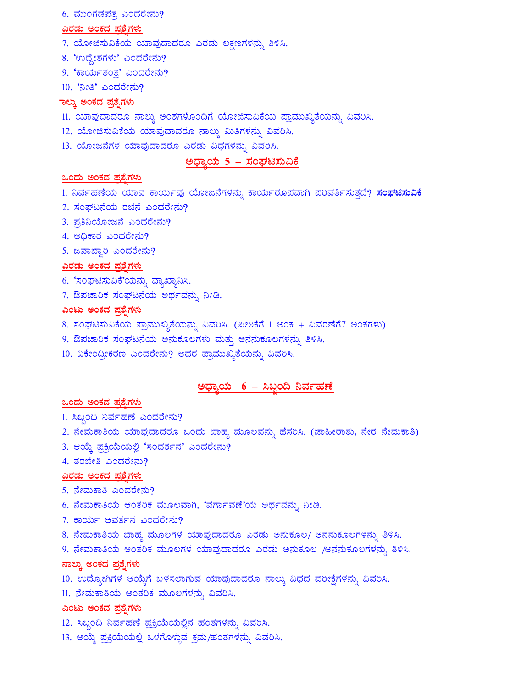6. ಮುಂಗಡಪತ್ರ ಎಂದರೇನು?

#### ಎರಡು ಅಂಕದ ಪ್ರಶೈಗಳು

- 7. ಯೋಜಿಸುವಿಕೆಯ ಯಾವುದಾದರೂ ಎರಡು ಲಕ್ಷಣಗಳನ್ನು ತಿಳಿಸಿ.
- 8. 'ಉದ್ದೇಶಗಳು' ಎಂದರೇನು?
- 9. 'ಕಾರ್ಯತಂತ,' ಎಂದರೇನು?
- 10. 'ನೀತಿ' ಎಂದರೇನು?

#### ಾಲ್ತು ಅಂಕದ ಪ್ರಶೈಗಳು

- 11. ಯಾವುದಾದರೂ ನಾಲ್ಕು ಅಂಶಗಳೊಂದಿಗೆ ಯೋಜಿಸುವಿಕೆಯ ಪ್ರಾಮುಖ್ಯತೆಯನ್ನು ವಿವರಿಸಿ.
- 12. ಯೋಜಿಸುವಿಕೆಯ ಯಾವುದಾದರೂ ನಾಲ್ಕು ಮಿತಿಗಳನ್ನು ವಿವರಿಸಿ.
- 13. ಯೋಜನೆಗಳ ಯಾವುದಾದರೂ ಎರಡು ವಿಧಗಳನ್ನು ವಿವರಿಸಿ.

#### <u> ಅಧ್ಯಾಯ 5 – ಸಂಘಟಿಸುವಿಕೆ</u>

#### <u>ಒಂದು ಅಂಕದ ಪ್ರಶ್ನೆಗಳು</u>

- 1. ನಿರ್ವಹಣೆಯ ಯಾವ ಕಾರ್ಯವು ಯೋಜನೆಗಳನ್ನು ಕಾರ್ಯರೂಪವಾಗಿ ಪರಿವರ್ತಿಸುತ್ತದೆ? <u>ಸಂಘಟಿಸುವಿಕೆ</u>
- 2. ಸಂಘಟನೆಯ ರಚನೆ ಎಂದರೇನು?
- 3. ಪ್ರತಿನಿಯೋಜನೆ ಎಂದರೇನು?
- 4. ಅಧಿಕಾರ ಎಂದರೇನು?
- 5. ಜವಾಬ್ದಾರಿ ಎಂದರೇನು?

#### <u>ಎರಡು ಅಂಕದ ಪ್ರಶೈಗಳು</u>

- 6. 'ಸಂಘಟಿಸುವಿಕೆ'ಯನ್ನು ವ್ಯಾಖ್ಯಾನಿಸಿ.
- 7. ಔಪಚಾರಿಕ ಸಂಘಟನೆಯ ಅರ್ಥವನ್ನು ನೀಡಿ.

#### <u>ಎಂಟು ಅಂಕದ ಪ್ರಶ್ನೆಗಳು</u>

- 8. ಸಂಘಟಿಸುವಿಕೆಯ ಪ್ರಾಮುಖ್ಯತೆಯನ್ನು ವಿವರಿಸಿ. (ಪೀಠಿಕೆಗೆ 1 ಅಂಕ + ವಿವರಣೆಗೆ7 ಅಂಕಗಳು)
- 9. ಔಪಚಾರಿಕ ಸಂಘಟನೆಯ ಅನುಕೂಲಗಳು ಮತ್ತು ಅನನುಕೂಲಗಳನ್ನು ತಿಳಿಸಿ.
- 10. ವಿಕೇಂದ್ರೀಕರಣ ಎಂದರೇನು? ಅದರ ಪ್ರಾಮುಖ್ಯತೆಯನ್ನು ವಿವರಿಸಿ.

# <u> ಅಧ್ಯಾಯ 6 – ಸಿಬ್ಬಂದಿ ನಿರ್ವಹಣೆ</u>

#### <u>ಒಂದು ಅಂಕದ ಪ್ರಶೈಗಳು</u>

- 1. ಸಿಬ್ಬಂದಿ ನಿರ್ವಹಣೆ ಎಂದರೇನು?
- 2. ನೇಮಕಾತಿಯ ಯಾವುದಾದರೂ ಒಂದು ಬಾಹ್ಯ ಮೂಲವನ್ನು ಹೆಸರಿಸಿ. (ಜಾಹೀರಾತು, ನೇರ ನೇಮಕಾತಿ)
- 3. ಆಯ್ಕೆ ಪ್ರಕ್ರಿಯೆಯಲ್ಲಿ 'ಸಂದರ್ಶನ' ಎಂದರೇನು?
- 4. ತರಬೇತಿ ಎಂದರೇನು?

#### <u>ಎರಡು ಅಂಕದ ಪ್ರಶ್ನೆಗಳು</u>

- 5. ನೇಮಕಾತಿ ಎಂದರೇನು?
- 6. ನೇಮಕಾತಿಯ ಆಂತರಿಕ ಮೂಲವಾಗಿ, 'ವರ್ಗಾವಣೆ'ಯ ಅರ್ಥವನ್ನು ನೀಡಿ.
- 7. ಕಾರ್ಯ ಆವರ್ತನ ಎಂದರೇನು?
- 8. ನೇಮಕಾತಿಯ ಬಾಹ್ಯ ಮೂಲಗಳ ಯಾವುದಾದರೂ ಎರಡು ಅನುಕೂಲ/ ಅನನುಕೂಲಗಳನ್ನು ತಿಳಿಸಿ.
- 9. ನೇಮಕಾತಿಯ ಆಂತರಿಕ ಮೂಲಗಳ ಯಾವುದಾದರೂ ಎರಡು ಅನುಕೂಲ /ಅನನುಕೂಲಗಳನ್ನು ತಿಳಿಸಿ.

#### ನಾಲ್ಕು ಅಂಕದ ಪ್ರಶ್ನೆಗಳು

- 10. ಉದ್ಯೋಗಿಗಳ ಆಯ್ಕೆಗೆ ಬಳಸಲಾಗುವ ಯಾವುದಾದರೂ ನಾಲ್ಕು ವಿಧದ ಪರೀಕ್ಷೆಗಳನ್ನು ವಿವರಿಸಿ.
- 11. ನೇಮಕಾತಿಯ ಆಂತರಿಕ ಮೂಲಗಳನ್ನು ವಿವರಿಸಿ.

#### <u>ಎಂಟು ಅಂಕದ ಪ್ರಶೈಗಳು</u>

- 12. ಸಿಬ್ಬಂದಿ ನಿರ್ವಹಣೆ ಪ್ರಕ್ರಿಯೆಯಲ್ಲಿನ ಹಂತಗಳನ್ನು ವಿವರಿಸಿ.
- 13. ಆಯ್ಕೆ ಪ್ರಕ್ರಿಯೆಯಲ್ಲಿ ಒಳಗೊಳ್ಳುವ ಕ್ರಮ/ಹಂತಗಳನ್ನು ವಿವರಿಸಿ.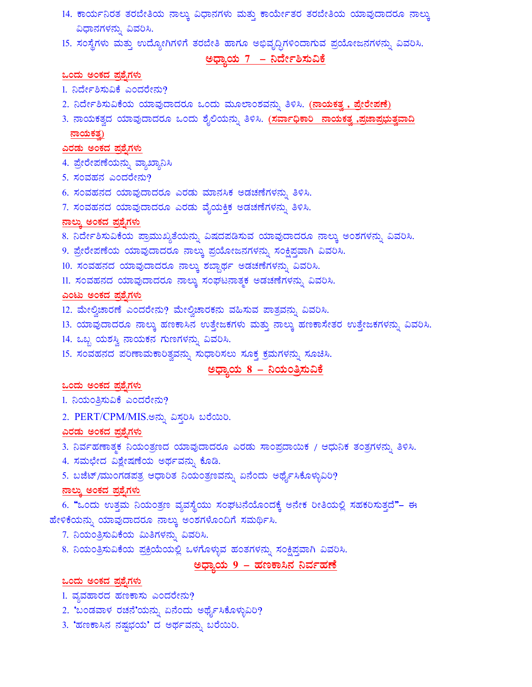- 14. ಕಾರ್ಯನಿರತ ತರಬೇತಿಯ ನಾಲ್ಕು ವಿಧಾನಗಳು ಮತ್ತು ಕಾರ್ಯೇತರ ತರಬೇತಿಯ ಯಾವುದಾದರೂ ನಾಲ್ಕು ವಿಧಾನಗಳನ್ನು ವಿವರಿಸಿ.
- 15. ಸಂಸ್ಥೆಗಳು ಮತ್ತು ಉದ್ಯೋಗಿಗಳಿಗೆ ತರಬೇತಿ ಹಾಗೂ ಅಭಿವೃದ್ಧಿಗಳಿಂದಾಗುವ ಪ್ರಯೋಜನಗಳನ್ನು ವಿವರಿಸಿ.

#### <u>ಅಧ್ಯಾಯ 7 – ನಿರ್ದೇಶಿಸುವಿಕೆ</u>

#### <u>ಒಂದು ಅಂಕದ ಪ್ರಶ್ನೆಗಳು</u>

- 1. ನಿರ್ದೇಶಿಸುವಿಕೆ ಎಂದರೇನು?
- 2. ನಿರ್ದೇಶಿಸುವಿಕೆಯ ಯಾವುದಾದರೂ ಒಂದು ಮೂಲಾಂಶವನ್ನು ತಿಳಿಸಿ. (**ನಾಯಕತ್ತ, ಪ್ರೇರೇಪಣೆ)**
- 3. ನಾಯಕತ್ವದ ಯಾವುದಾದರೂ ಒಂದು ಶೈಲಿಯನ್ನು ತಿಳಿಸಿ. <u>(ಸರ್ವಾಧಿಕಾರಿ ನಾಯಕತ್ವ ,ಪ್ರಜಾಪ್ರಭುತ್ವವಾದಿ</u>  $\overline{\text{mod}}$ ಕತ್ತ)

#### <u>ಎರಡು ಅಂಕದ ಪ್ರಶೈಗಳು</u>

- 4. ಪ್ರೇರೇಪಣೆಯನ್ನು ವ್ಯಾಖ್ಯಾನಿಸಿ
- $5.$  ಸಂವಹನ ಎಂದರೇನು?
- 6. ಸಂವಹನದ ಯಾವುದಾದರೂ ಎರಡು ಮಾನಸಿಕ ಅಡಚಣೆಗಳನ್ನು ತಿಳಿಸಿ.
- 7. ಸಂವಹನದ ಯಾವುದಾದರೂ ಎರಡು ವೈಯಕ್ತಿಕ ಅಡಚಣೆಗಳನ್ನು ತಿಳಿಸಿ.

#### <u>ನಾಲ್ಕು ಅಂಕದ ಪ್ರಶ್ನೆಗಳು</u>

- 8. ನಿರ್ದೇಶಿಸುವಿಕೆಯ ಪ್ರಾಮುಖ್ಯತೆಯನ್ನು ವಿಷದಪಡಿಸುವ ಯಾವುದಾದರೂ ನಾಲ್ಕು ಅಂಶಗಳನ್ನು ವಿವರಿಸಿ.
- 9. ಪ್ರೇರೇಪಣೆಯ ಯಾವುದಾದರೂ ನಾಲ್ಕು ಪ್ರಯೋಜನಗಳನ್ನು ಸಂಕ್ಷಿಪ್ತವಾಗಿ ವಿವರಿಸಿ.
- 10. ಸಂವಹನದ ಯಾವುದಾದರೂ ನಾಲ್ಕು ಶಬ್ದಾರ್ಥ ಅಡಚಣೆಗಳನ್ನು ವಿವರಿಸಿ.
- 11. ಸಂವಹನದ ಯಾವುದಾದರೂ ನಾಲ್ಕು ಸಂಘಟನಾತ್ಮಕ ಅಡಚಣೆಗಳನ್ನು ವಿವರಿಸಿ.

#### <u>ಎಂಟು ಅಂಕದ ಪ್ರಶ್ನೆಗಳು</u>

- 12. ಮೇಲ್ವಿಚಾರಣೆ ಎಂದರೇನು? ಮೇಲ್ವಿಚಾರಕನು ವಹಿಸುವ ಪಾತ್ರವನ್ನು ವಿವರಿಸಿ.
- 13. ಯಾವುದಾದರೂ ನಾಲ್ಕು ಹಣಕಾಸಿನ ಉತ್ತೇಜಕಗಳು ಮತ್ತು ನಾಲ್ಕು ಹಣಕಾಸೇತರ ಉತ್ತೇಜಕಗಳನ್ನು ವಿವರಿಸಿ.
- 14. ಒಬ್ಬ ಯಶಸ್ತಿ ನಾಯಕನ ಗುಣಗಳನ್ನು ವಿವರಿಸಿ.
- 15. ಸಂವಹನದ ಪರಿಣಾಮಕಾರಿತ್ರವನ್ನು ಸುಧಾರಿಸಲು ಸೂಕ್ತ ಕ್ರಮಗಳನ್ನು ಸೂಚಿಸಿ.

# ಅಧ್ಯಾಯ 8 – ನಿಯಂತ್ರಿಸುವಿಕೆ

#### ಒಂದು ಅಂಕದ ಪ್ರಶೈಗಳು

1. ನಿಯಂತ್ರಿಸುವಿಕೆ ಎಂದರೇನು?

2. PERT/CPM/MIS.ಅನ್ನು ವಿಸ್ತರಿಸಿ ಬರೆಯಿರಿ.

#### ಎರಡು ಅಂಕದ ಪ್ರಶೈಗಳು

- 3. ನಿರ್ವಹಣಾತ್ಮಕ ನಿಯಂತ್ರಣದ ಯಾವುದಾದರೂ ಎರಡು ಸಾಂಪ್ರದಾಯಿಕ / ಆಧುನಿಕ ತಂತ್ರಗಳನ್ನು ತಿಳಿಸಿ.
- 4. ಸಮಛೇದ ವಿಶ್ಲೇಷಣೆಯ ಅರ್ಥವನ್ನು ಕೊಡಿ.
- 5. ಬಜೆಟ್/ಮುಂಗಡಪತ್ರ ಆಧಾರಿತ ನಿಯಂತ್ರಣವನ್ನು ಏನೆಂದು ಅರ್ಥೈಸಿಕೊಳ್ಳುವಿರಿ?

#### <u>ನಾಲ್ಕು ಅಂಕದ ಪ್ರಶ್ನೆಗಳು</u>

6. "ಒಂದು ಉತ್ತಮ ನಿಯಂತ್ರಣ ವ್ಯವಸ್ಥೆಯು ಸಂಘಟನೆಯೊಂದಕ್ಕೆ ಅನೇಕ ರೀತಿಯಲ್ಲಿ ಸಹಕರಿಸುತ್ತದೆ"– ಈ ಹೇಳಿಕೆಯನ್ನು ಯಾವುದಾದರೂ ನಾಲ್ಕು ಅಂಶಗಳೊಂದಿಗೆ ಸಮರ್ಥಿಸಿ.

- 7. ನಿಯಂತ್ರಿಸುವಿಕೆಯ ಮಿತಿಗಳನ್ನು ವಿವರಿಸಿ.
- 8. ನಿಯಂತ್ರಿಸುವಿಕೆಯ ಪ್ರಕ್ರಿಯೆಯಲ್ಲಿ ಒಳಗೊಳ್ಳುವ ಹಂತಗಳನ್ನು ಸಂಕ್ಷಿಪ್ತವಾಗಿ ವಿವರಿಸಿ.

#### <u>ಅಧ್ಯಾಯ 9 – ಹಣಕಾಸಿನ ನಿರ್ವಹಣೆ</u>

#### <u>ಒಂದು ಅಂಕದ ಪ್ರಶ್ನೆಗಳು</u>

- 1. ವ್ಯವಹಾರದ ಹಣಕಾಸು ಎಂದರೇನು?
- 2. 'ಬಂಡವಾಳ ರಚನೆ'ಯನ್ನು ಏನೆಂದು ಅರ್ಥೈಸಿಕೊಳ್ಳುವಿರಿ?
- 3. 'ಹಣಕಾಸಿನ ನಷ್ಟಭಯ' ದ ಅರ್ಥವನ್ನು ಬರೆಯಿರಿ.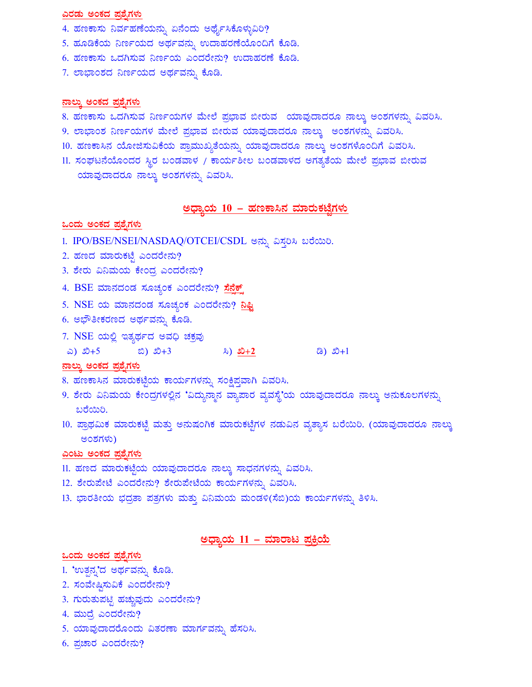#### ಎರಡು ಅಂಕದ ಪ್ರಶೈಗಳು

- 4. ಹಣಕಾಸು ನಿರ್ವಹಣೆಯನ್ನು ಏನೆಂದು ಅರ್ಥೈಸಿಕೊಳ್ಳುವಿರಿ?
- 5. ಹೂಡಿಕೆಯ ನಿರ್ಣಯದ ಅರ್ಥವನ್ನು ಉದಾಹರಣೆಯೊಂದಿಗೆ ಕೊಡಿ.
- 6. ಹಣಕಾಸು ಒದಗಿಸುವ ನಿರ್ಣಯ ಎಂದರೇನು? ಉದಾಹರಣೆ ಕೊಡಿ.
- 7. ಲಾಭಾಂಶದ ನಿರ್ಣಯದ ಅರ್ಥವನ್ನು ಕೊಡಿ.

#### <u>ನಾಲ್ಕು ಅಂಕದ ಪ್ರಶ್ನೆಗಳು</u>

- 8. ಹಣಕಾಸು ಒದಗಿಸುವ ನಿರ್ಣಯಗಳ ಮೇಲೆ ಪ್ರಭಾವ ಬೀರುವ ಯಾವುದಾದರೂ ನಾಲ್ಕು ಅಂಶಗಳನ್ನು ವಿವರಿಸಿ.
- 9. ಲಾಭಾಂಶ ನಿರ್ಣಯಗಳ ಮೇಲೆ ಪ್ರಭಾವ ಬೀರುವ ಯಾವುದಾದರೂ ನಾಲ್ಕು ಅಂಶಗಳನ್ನು ವಿವರಿಸಿ.
- 10. ಹಣಕಾಸಿನ ಯೋಜಿಸುವಿಕೆಯ ಪ್ರಾಮುಖ್ಯತೆಯನ್ನು ಯಾವುದಾದರೂ ನಾಲ್ಕು ಅಂಶಗಳೊಂದಿಗೆ ವಿವರಿಸಿ.
- 11. ಸಂಘಟನೆಯೊಂದರ ಸ್ಥಿರ ಬಂಡವಾಳ / ಕಾರ್ಯಶೀಲ ಬಂಡವಾಳದ ಅಗತ್ಯತೆಯ ಮೇಲೆ ಪ್ರಭಾವ ಬೀರುವ ಯಾವುದಾದರೂ ನಾಲ್ಕು ಅಂಶಗಳನ್ನು ವಿವರಿಸಿ.

#### <u> ಅಧ್ಯಾಯ 10 – ಹಣಕಾಸಿನ ಮಾರುಕಟ್ಟೆಗಳು</u>

#### ಒಂದು ಅಂಕದ ಪ್ರಶೈಗಳು

- 1. IPO/BSE/NSEI/NASDAQ/OTCEI/CSDL ಅನ್ನು ವಿಸ್ತರಿಸಿ ಬರೆಯಿರಿ.
- 2. ಹಣದ ಮಾರುಕಟ್ಟೆ ಎಂದರೇನು?
- 3. ಶೇರು ವಿನಿಮಯ ಕೇಂದ್ರ ಎಂದರೇನು?
- 4. BSE ಮಾನದಂಡ ಸೂಚ್ಯಂಕ ಎಂದರೇನು? <mark>ಸೆನೆಕ್</mark>
- 5. NSE ಯ ಮಾನದಂಡ ಸೂಚ್ಯಂಕ ಎಂದರೇನು? <mark>ನಿಫ್</mark>ಷಿ
- 6. ಅಭೌತೀಕರಣದ ಅರ್ಥವನ್ನು ಕೊಡಿ.
- 7. NSE ಯಲ್ಲಿ ಇತ್ಯರ್ಥದ ಅವಧಿ ಚಕ್ರವು
- $\infty$ )  $\infty$ +5  $\infty$ )  $\infty$ +3  $\infty$   $\infty$   $\infty$   $\infty$   $\infty$   $\infty$   $\infty$   $\infty$   $\infty$   $\infty$   $\infty$   $\infty$   $\infty$   $\infty$   $\infty$   $\infty$   $\infty$   $\infty$   $\infty$   $\infty$   $\infty$   $\infty$   $\infty$   $\infty$   $\infty$   $\infty$   $\infty$   $\infty$   $\infty$   $\infty$   $\infty$   $\infty$

#### <u>ನಾಲ್ಕು ಅಂಕದ ಪ್ರಶ್ನೆಗಳು</u>

- 8. ಹಣಕಾಸಿನ ಮಾರುಕಟ್ಟೆಯ ಕಾರ್ಯಗಳನ್ನು ಸಂಕ್ಷಿಪ್ತವಾಗಿ ವಿವರಿಸಿ.
- 9. ಶೇರು ವಿನಿಮಯ ಕೇಂದ್ರಗಳಲ್ಲಿನ 'ವಿದ್ಯುನ್ಮಾನ ವ್ಯಾಪಾರ ವ್ಯವಸ್ಥೆ'ಯ ಯಾವುದಾದರೂ ನಾಲ್ಕು ಅನುಕೂಲಗಳನ್ನು ಬರೆಯಿರಿ.
- 10. ಪ್ರಾಥಮಿಕ ಮಾರುಕಟ್ಟೆ ಮತ್ತು ಅನುಷಂಗಿಕ ಮಾರುಕಟ್ಟೆಗಳ ನಡುವಿನ ವ್ಯತ್ಯಾಸ ಬರೆಯಿರಿ. (ಯಾವುದಾದರೂ ನಾಲ್ಕು ಅಂಶಗಳು)

#### ಎಂಟು ಅಂಕದ ಪ್ರಶೈಗಳು

- 11. ಹಣದ ಮಾರುಕಟ್ಟೆಯ ಯಾವುದಾದರೂ ನಾಲ್ಕು ಸಾಧನಗಳನ್ನು ವಿವರಿಸಿ.
- 12. ಶೇರುಪೇಟೆ ಎಂದರೇನು? ಶೇರುಪೇಟೆಯ ಕಾರ್ಯಗಳನ್ನು ವಿವರಿಸಿ.
- 13. ಭಾರತೀಯ ಭದ್ರತಾ ಪತ್ರಗಳು ಮತ್ತು ವಿನಿಮಯ ಮಂಡಳಿ(ಸೆಬಿ)ಯ ಕಾರ್ಯಗಳನ್ನು ತಿಳಿಸಿ.

# <u> ಅಧ್ಯಾಯ 11 – ಮಾರಾಟ ಪ್ರಕ್ರಿಯೆ</u>

#### ಒಂದು ಅಂಕದ ಪ್ರಶೈಗಳು

- 1. 'ಉತ್ಪನ್ನ'ದ ಅರ್ಥವನ್ನು ಕೊಡಿ.
- 2. ಸಂವೇಷ್ಠಿಸುವಿಕೆ ಎಂದರೇನು?
- 3. ಗುರುತುಪಟ್ಟಿ ಹಚ್ಚುವುದು ಎಂದರೇನು?
- 4. ಮುದ್ರೆ ಎಂದರೇನು?
- 5. ಯಾವುದಾದರೊಂದು ವಿತರಣಾ ಮಾರ್ಗವನ್ನು ಹೆಸರಿಸಿ.
- 6. ಪ್ರಚಾರ ಎಂದರೇನು?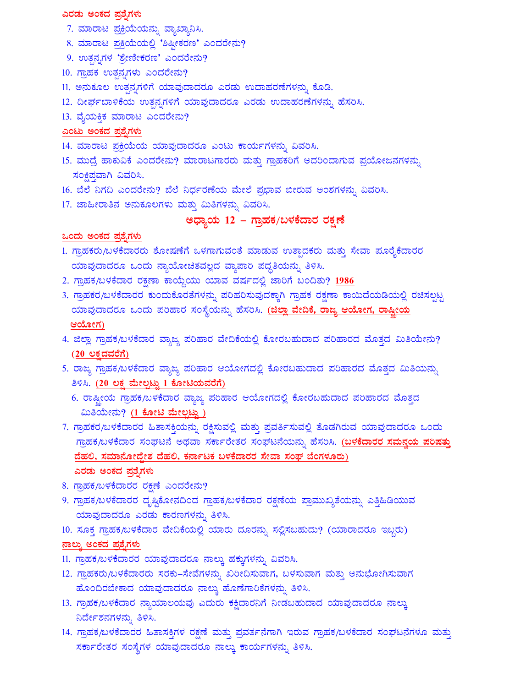#### ಎರಡು ಅಂಕದ ಪ್ರಶೈಗಳು

- 7. ಮಾರಾಟ ಪ್ರಕ್ರಿಯೆಯನ್ನು ವ್ಯಾಖ್ಯಾನಿಸಿ.
- 8. ಮಾರಾಟ ಪ್ರಕ್ರಿಯೆಯಲ್ಲಿ 'ಶಿಷ್ಠೀಕರಣ' ಎಂದರೇನು?
- 9. ಉತ್ಪನ್ನಗಳ 'ಶ್ರೇಣೀಕರಣ' ಎಂದರೇನು?
- $10.$  ಗ್ರಾಹಕ ಉತ್ಪನಗಳು ಎಂದರೇನು?
- 11. ಅನುಕೂಲ ಉತ್ಪನ್ನಗಳಿಗೆ ಯಾವುದಾದರೂ ಎರಡು ಉದಾಹರಣೆಗಳನ್ನು ಕೊಡಿ.
- 12. ದೀರ್ಘಬಾಳಿಕೆಯ ಉತ್ಪನ್ನಗಳಿಗೆ ಯಾವುದಾದರೂ ಎರಡು ಉದಾಹರಣೆಗಳನ್ನು ಹೆಸರಿಸಿ.
- 13. ವೈಯಕ್ತಿಕ ಮಾರಾಟ ಎಂದರೇನು?

#### <u>ಎಂಟು ಅಂಕದ ಪ್ರಶ್ನೆಗಳು</u>

- 14. ಮಾರಾಟ ಪ್ರಕ್ರಿಯೆಯ ಯಾವುದಾದರೂ ಎಂಟು ಕಾರ್ಯಗಳನ್ನು ವಿವರಿಸಿ.
- 15. ಮುದ್ರೆ ಹಾಕುವಿಕೆ ಎಂದರೇನು? ಮಾರಾಟಗಾರರು ಮತ್ತು ಗ್ರಾಹಕರಿಗೆ ಅದರಿಂದಾಗುವ ಪ್ರಯೋಜನಗಳನ್ನು ಸಂಕ್ಷಿಪ್ತವಾಗಿ ವಿವರಿಸಿ.
- 16. ಬೆಲೆ ನಿಗದಿ ಎಂದರೇನು? ಬೆಲೆ ನಿರ್ಧರಣೆಯ ಮೇಲೆ ಪ್ರಭಾವ ಬೀರುವ ಅಂಶಗಳನ್ನು ವಿವರಿಸಿ.
- 17. ಜಾಹೀರಾತಿನ ಅನುಕೂಲಗಳು ಮತ್ತು ಮಿತಿಗಳನ್ನು ವಿವರಿಸಿ.

### <u> ಅಧ್ಯಾಯ 12 – ಗ್ರಾಹಕ/ಬಳಕೆದಾರ ರಕ್ಷಣೆ</u>

#### <u>ಒಂದು ಅಂಕದ ಪ್ರಶ್ನೆಗಳು</u>

- 1. ಗ್ರಾಹಕರು/ಬಳಕೆದಾರರು ಶೋಷಣೆಗೆ ಒಳಗಾಗುವಂತೆ ಮಾಡುವ ಉತ್ಪಾದಕರು ಮತ್ತು ಸೇವಾ ಪೂರೈಕೆದಾರರ ಯಾವುದಾದರೂ ಒಂದು ನ್ಯಾಯೋಚಿತವಲ್ಲದ ವ್ಯಾಪಾರಿ ಪದ್ಧತಿಯನ್ನು ತಿಳಿಸಿ.
- 2. ಗ್ರಾಹಕ/ಬಳಕೆದಾರ ರಕ್ಷಣಾ ಕಾಯ್ದೆಯು ಯಾವ ವರ್ಷದಲ್ಲಿ ಜಾರಿಗೆ ಬಂದಿತು? 1986
- 3. ಗ್ರಾಹಕರ/ಬಳಕೆದಾರರ ಕುಂದುಕೊರತೆಗಳನ್ನು ಪರಿಹರಿಸುವುದಕ್ಕಾಗಿ ಗ್ರಾಹಕ ರಕ್ಷಣಾ ಕಾಯಿದೆಯಡಿಯಲ್ಲಿ ರಚಿಸಲ್ಪಟ್ಟ ಯಾವುದಾದರೂ ಒಂದು ಪರಿಹಾರ ಸಂಸ್ಥೆಯನ್ನು ಹೆಸರಿಸಿ. (ಜಿಲ್ಲಾ ವೇದಿಕೆ, ರಾಜ್ಯ ಆಯೋಗ, ರಾಷ್ಟೀಯ ಆಯೋಗ)
- 4. ಜಿಲ್ಲಾ ಗ್ರಾಹಕ/ಬಳಕೆದಾರ ವ್ಯಾಜ್ಯ ಪರಿಹಾರ ವೇದಿಕೆಯಲ್ಲಿ ಕೋರಬಹುದಾದ ಪರಿಹಾರದ ಮೊತ್ತದ ಮಿತಿಯೇನು?  $(20 \nabla \ddot{\sigma})$
- 5. ರಾಜ್ಯ ಗ್ರಾಹಕ/ಬಳಕೆದಾರ ವ್ಯಾಜ್ಯ ಪರಿಹಾರ ಆಯೋಗದಲ್ಲಿ ಕೋರಬಹುದಾದ ಪರಿಹಾರದ ಮೊತ್ತದ ಮಿತಿಯನ್ನು ತಿಳಿಸಿ. <u>(20 ಲಕ್ಷ ಮೇಲ್ಪಟ್ಟು 1 ಕೋಟಿಯವರೆಗೆ)</u>
	- 6. ರಾಷ್ಟೀಯ ಗ್ರಾಹಕ/ಬಳಕೆದಾರ ವ್ಯಾಜ್ಯ ಪರಿಹಾರ ಆಯೋಗದಲ್ಲಿ ಕೋರಬಹುದಾದ ಪರಿಹಾರದ ಮೊತ್ತದ ಮಿತಿಯೇನು? (1 ಕೋಟಿ ಮೇಲ್ಪಟ್ಟು)
- 7. ಗ್ರಾಹಕರ/ಬಳಕೆದಾರರ ಹಿತಾಸಕ್ತಿಯನ್ನು ರಕ್ಷಿಸುವಲ್ಲಿ ಮತ್ತು ಪ್ರವರ್ತಿಸುವಲ್ಲಿ ತೊಡಗಿರುವ ಯಾವುದಾದರೂ ಒಂದು <u>ಗ್ರಾಹಕ/ಬಳಕೆದಾರ ಸಂಘಟನೆ ಅಥವಾ ಸರ್ಕಾರೇತರ ಸಂಘಟನೆಯನ್ನು ಹೆಸರಿಸಿ. (<mark>ಬಳಕೆದಾರರ ಸಮನ್ವಯ ಪರಿಷತ್ತು</mark></u> <u>ದೆಹಲಿ, ಸಮಾನೋದ್ದೇಶ ದೆಹಲಿ, ಕರ್ನಾಟಕ ಬಳಕೆದಾರರ ಸೇವಾ ಸಂಘ ಬೆಂಗಳೂರು)</u> ಎರಡು ಅಂಕದ ಪ್ರಶೈಗಳು
- 8. ಗ್ರಾಹಕ/ಬಳಕೆದಾರರ ರಕ್ಷಣೆ ಎಂದರೇನು?
- 9. ಗ್ರಾಹಕ/ಬಳಕೆದಾರರ ದೃಷ್ಟಿಕೋನದಿಂದ ಗ್ರಾಹಕ/ಬಳಕೆದಾರ ರಕ್ಷಣೆಯ ಪ್ರಾಮುಖ್ಯತೆಯನ್ನು ಎತ್ತಿಹಿಡಿಯುವ ಯಾವುದಾದರೂ ಎರಡು ಕಾರಣಗಳನ್ನು ತಿಳಿಸಿ.
- 10. ಸೂಕ್ತ ಗ್ರಾಹಕ/ಬಳಕೆದಾರ ವೇದಿಕೆಯಲ್ಲಿ ಯಾರು ದೂರನ್ನು ಸಲ್ಲಿಸಬಹುದು? (ಯಾರಾದರೂ ಇಬ್ಬರು) <u>ನಾಲ್ಕು ಅಂಕದ ಪ್ರಶ್ನೆಗಳು</u>
- 11. ಗ್ರಾಹಕ/ಬಳಕೆದಾರರ ಯಾವುದಾದರೂ ನಾಲ್ಕು ಹಕ್ಕುಗಳನ್ನು ವಿವರಿಸಿ.
- 12. ಗ್ರಾಹಕರು/ಬಳಕೆದಾರರು ಸರಕು–ಸೇವೆಗಳನ್ನು ಖರೀದಿಸುವಾಗ, ಬಳಸುವಾಗ ಮತ್ತು ಅನುಭೋಗಿಸುವಾಗ ಹೊಂದಿರಬೇಕಾದ ಯಾವುದಾದರೂ ನಾಲ್ಕು ಹೊಣೆಗಾರಿಕೆಗಳನ್ನು ತಿಳಿಸಿ.
- 13. ಗ್ರಾಹಕ/ಬಳಕೆದಾರ ನ್ಯಾಯಾಲಯವು ಎದುರು ಕಕ್ಷಿದಾರನಿಗೆ ನೀಡಬಹುದಾದ ಯಾವುದಾದರೂ ನಾಲ್ಕು ನಿರ್ದೇಶನಗಳನ್ನು ತಿಳಿಸಿ.
- 14. ಗ್ರಾಹಕ/ಬಳಕೆದಾರರ ಹಿತಾಸಕ್ತಿಗಳ ರಕ್ಷಣೆ ಮತ್ತು ಪ್ರವರ್ತನೆಗಾಗಿ ಇರುವ ಗ್ರಾಹಕ/ಬಳಕೆದಾರ ಸಂಘಟನೆಗಳೂ ಮತ್ತು ಸರ್ಕಾರೇತರ ಸಂಸ್ಥೆಗಳ ಯಾವುದಾದರೂ ನಾಲ್ಕು ಕಾರ್ಯಗಳನ್ನು ತಿಳಿಸಿ.